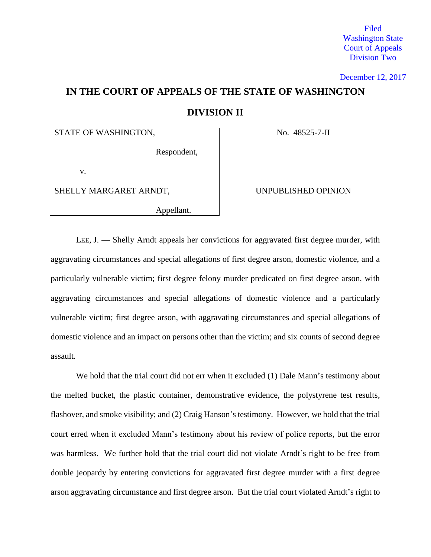Filed Washington State Court of Appeals Division Two

December 12, 2017

# **IN THE COURT OF APPEALS OF THE STATE OF WASHINGTON DIVISION II**

STATE OF WASHINGTON,  $\overline{N}$  No. 48525-7-II

Respondent,

v.

SHELLY MARGARET ARNDT, SHELLY MARGARET ARNDT,

Appellant.

LEE, J. — Shelly Arndt appeals her convictions for aggravated first degree murder, with aggravating circumstances and special allegations of first degree arson, domestic violence, and a particularly vulnerable victim; first degree felony murder predicated on first degree arson, with aggravating circumstances and special allegations of domestic violence and a particularly vulnerable victim; first degree arson, with aggravating circumstances and special allegations of domestic violence and an impact on persons other than the victim; and six counts of second degree assault.

We hold that the trial court did not err when it excluded (1) Dale Mann's testimony about the melted bucket, the plastic container, demonstrative evidence, the polystyrene test results, flashover, and smoke visibility; and (2) Craig Hanson's testimony. However, we hold that the trial court erred when it excluded Mann's testimony about his review of police reports, but the error was harmless. We further hold that the trial court did not violate Arndt's right to be free from double jeopardy by entering convictions for aggravated first degree murder with a first degree arson aggravating circumstance and first degree arson. But the trial court violated Arndt's right to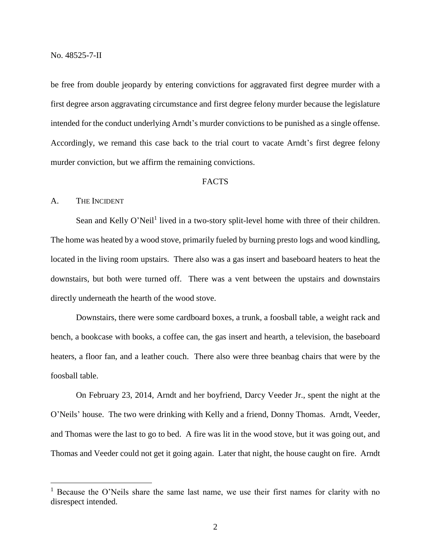be free from double jeopardy by entering convictions for aggravated first degree murder with a first degree arson aggravating circumstance and first degree felony murder because the legislature intended for the conduct underlying Arndt's murder convictions to be punished as a single offense. Accordingly, we remand this case back to the trial court to vacate Arndt's first degree felony murder conviction, but we affirm the remaining convictions.

# FACTS

## A. THE INCIDENT

 $\overline{a}$ 

Sean and Kelly O'Neil<sup>1</sup> lived in a two-story split-level home with three of their children. The home was heated by a wood stove, primarily fueled by burning presto logs and wood kindling, located in the living room upstairs. There also was a gas insert and baseboard heaters to heat the downstairs, but both were turned off. There was a vent between the upstairs and downstairs directly underneath the hearth of the wood stove.

Downstairs, there were some cardboard boxes, a trunk, a foosball table, a weight rack and bench, a bookcase with books, a coffee can, the gas insert and hearth, a television, the baseboard heaters, a floor fan, and a leather couch. There also were three beanbag chairs that were by the foosball table.

On February 23, 2014, Arndt and her boyfriend, Darcy Veeder Jr., spent the night at the O'Neils' house. The two were drinking with Kelly and a friend, Donny Thomas. Arndt, Veeder, and Thomas were the last to go to bed. A fire was lit in the wood stove, but it was going out, and Thomas and Veeder could not get it going again. Later that night, the house caught on fire. Arndt

<sup>&</sup>lt;sup>1</sup> Because the O'Neils share the same last name, we use their first names for clarity with no disrespect intended.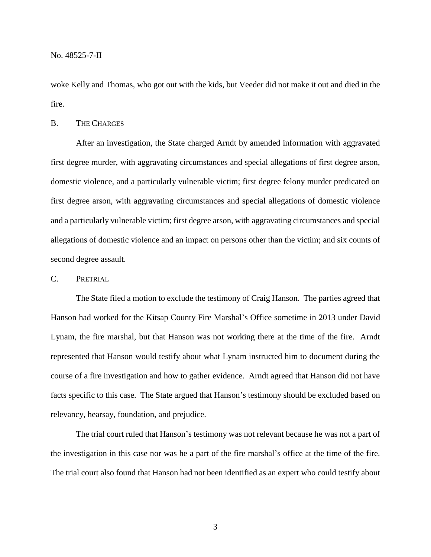No. 48525-7-II

woke Kelly and Thomas, who got out with the kids, but Veeder did not make it out and died in the fire.

## B. THE CHARGES

After an investigation, the State charged Arndt by amended information with aggravated first degree murder, with aggravating circumstances and special allegations of first degree arson, domestic violence, and a particularly vulnerable victim; first degree felony murder predicated on first degree arson, with aggravating circumstances and special allegations of domestic violence and a particularly vulnerable victim; first degree arson, with aggravating circumstances and special allegations of domestic violence and an impact on persons other than the victim; and six counts of second degree assault.

# C. PRETRIAL

The State filed a motion to exclude the testimony of Craig Hanson. The parties agreed that Hanson had worked for the Kitsap County Fire Marshal's Office sometime in 2013 under David Lynam, the fire marshal, but that Hanson was not working there at the time of the fire. Arndt represented that Hanson would testify about what Lynam instructed him to document during the course of a fire investigation and how to gather evidence. Arndt agreed that Hanson did not have facts specific to this case. The State argued that Hanson's testimony should be excluded based on relevancy, hearsay, foundation, and prejudice.

The trial court ruled that Hanson's testimony was not relevant because he was not a part of the investigation in this case nor was he a part of the fire marshal's office at the time of the fire. The trial court also found that Hanson had not been identified as an expert who could testify about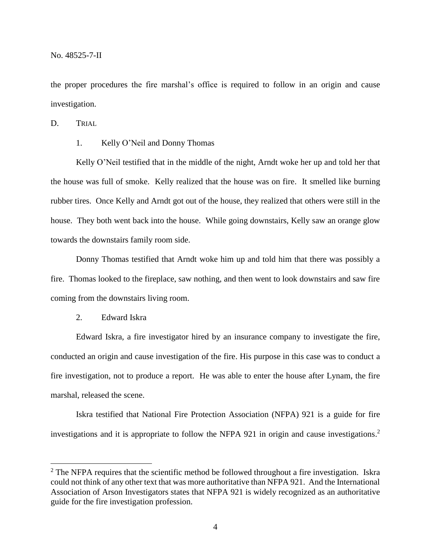the proper procedures the fire marshal's office is required to follow in an origin and cause investigation.

D. TRIAL

1. Kelly O'Neil and Donny Thomas

Kelly O'Neil testified that in the middle of the night, Arndt woke her up and told her that the house was full of smoke. Kelly realized that the house was on fire. It smelled like burning rubber tires. Once Kelly and Arndt got out of the house, they realized that others were still in the house. They both went back into the house. While going downstairs, Kelly saw an orange glow towards the downstairs family room side.

Donny Thomas testified that Arndt woke him up and told him that there was possibly a fire. Thomas looked to the fireplace, saw nothing, and then went to look downstairs and saw fire coming from the downstairs living room.

2. Edward Iskra

 $\overline{a}$ 

Edward Iskra, a fire investigator hired by an insurance company to investigate the fire, conducted an origin and cause investigation of the fire. His purpose in this case was to conduct a fire investigation, not to produce a report. He was able to enter the house after Lynam, the fire marshal, released the scene.

Iskra testified that National Fire Protection Association (NFPA) 921 is a guide for fire investigations and it is appropriate to follow the NFPA 921 in origin and cause investigations. 2

<sup>&</sup>lt;sup>2</sup> The NFPA requires that the scientific method be followed throughout a fire investigation. Iskra could not think of any other text that was more authoritative than NFPA 921. And the International Association of Arson Investigators states that NFPA 921 is widely recognized as an authoritative guide for the fire investigation profession.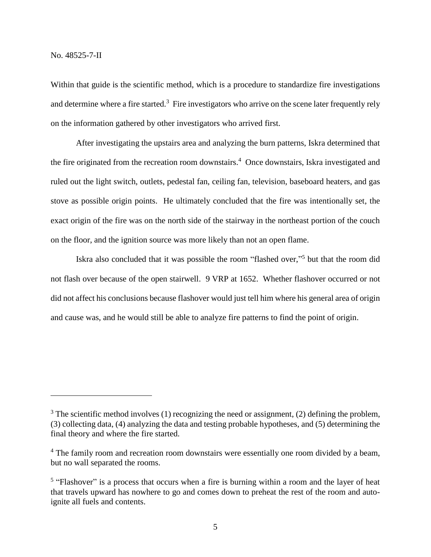$\overline{a}$ 

Within that guide is the scientific method, which is a procedure to standardize fire investigations and determine where a fire started.<sup>3</sup> Fire investigators who arrive on the scene later frequently rely on the information gathered by other investigators who arrived first.

After investigating the upstairs area and analyzing the burn patterns, Iskra determined that the fire originated from the recreation room downstairs.<sup>4</sup> Once downstairs, Iskra investigated and ruled out the light switch, outlets, pedestal fan, ceiling fan, television, baseboard heaters, and gas stove as possible origin points. He ultimately concluded that the fire was intentionally set, the exact origin of the fire was on the north side of the stairway in the northeast portion of the couch on the floor, and the ignition source was more likely than not an open flame.

Iskra also concluded that it was possible the room "flashed over," 5 but that the room did not flash over because of the open stairwell. 9 VRP at 1652. Whether flashover occurred or not did not affect his conclusions because flashover would just tell him where his general area of origin and cause was, and he would still be able to analyze fire patterns to find the point of origin.

 $3$  The scientific method involves (1) recognizing the need or assignment, (2) defining the problem, (3) collecting data, (4) analyzing the data and testing probable hypotheses, and (5) determining the final theory and where the fire started.

<sup>&</sup>lt;sup>4</sup> The family room and recreation room downstairs were essentially one room divided by a beam, but no wall separated the rooms.

<sup>&</sup>lt;sup>5</sup> "Flashover" is a process that occurs when a fire is burning within a room and the layer of heat that travels upward has nowhere to go and comes down to preheat the rest of the room and autoignite all fuels and contents.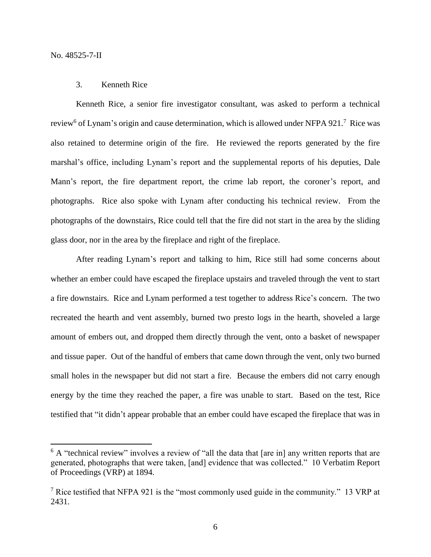$\overline{a}$ 

### 3. Kenneth Rice

Kenneth Rice, a senior fire investigator consultant, was asked to perform a technical review<sup>6</sup> of Lynam's origin and cause determination, which is allowed under NFPA 921.<sup>7</sup> Rice was also retained to determine origin of the fire. He reviewed the reports generated by the fire marshal's office, including Lynam's report and the supplemental reports of his deputies, Dale Mann's report, the fire department report, the crime lab report, the coroner's report, and photographs. Rice also spoke with Lynam after conducting his technical review. From the photographs of the downstairs, Rice could tell that the fire did not start in the area by the sliding glass door, nor in the area by the fireplace and right of the fireplace.

After reading Lynam's report and talking to him, Rice still had some concerns about whether an ember could have escaped the fireplace upstairs and traveled through the vent to start a fire downstairs. Rice and Lynam performed a test together to address Rice's concern. The two recreated the hearth and vent assembly, burned two presto logs in the hearth, shoveled a large amount of embers out, and dropped them directly through the vent, onto a basket of newspaper and tissue paper. Out of the handful of embers that came down through the vent, only two burned small holes in the newspaper but did not start a fire. Because the embers did not carry enough energy by the time they reached the paper, a fire was unable to start. Based on the test, Rice testified that "it didn't appear probable that an ember could have escaped the fireplace that was in

 $6$  A "technical review" involves a review of "all the data that [are in] any written reports that are generated, photographs that were taken, [and] evidence that was collected." 10 Verbatim Report of Proceedings (VRP) at 1894.

<sup>&</sup>lt;sup>7</sup> Rice testified that NFPA 921 is the "most commonly used guide in the community." 13 VRP at 2431.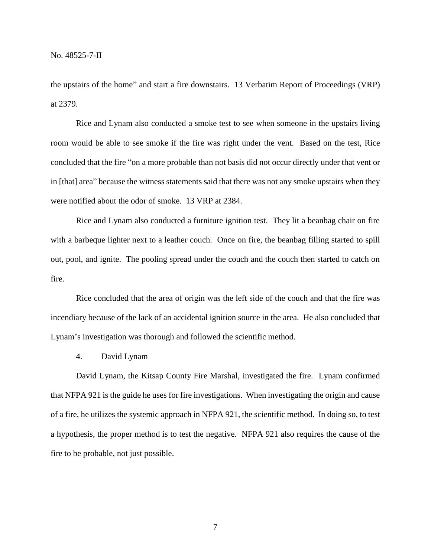the upstairs of the home" and start a fire downstairs. 13 Verbatim Report of Proceedings (VRP) at 2379.

Rice and Lynam also conducted a smoke test to see when someone in the upstairs living room would be able to see smoke if the fire was right under the vent. Based on the test, Rice concluded that the fire "on a more probable than not basis did not occur directly under that vent or in [that] area" because the witness statements said that there was not any smoke upstairs when they were notified about the odor of smoke. 13 VRP at 2384.

Rice and Lynam also conducted a furniture ignition test. They lit a beanbag chair on fire with a barbeque lighter next to a leather couch. Once on fire, the beanbag filling started to spill out, pool, and ignite. The pooling spread under the couch and the couch then started to catch on fire.

Rice concluded that the area of origin was the left side of the couch and that the fire was incendiary because of the lack of an accidental ignition source in the area. He also concluded that Lynam's investigation was thorough and followed the scientific method.

4. David Lynam

David Lynam, the Kitsap County Fire Marshal, investigated the fire. Lynam confirmed that NFPA 921 is the guide he uses for fire investigations. When investigating the origin and cause of a fire, he utilizes the systemic approach in NFPA 921, the scientific method. In doing so, to test a hypothesis, the proper method is to test the negative. NFPA 921 also requires the cause of the fire to be probable, not just possible.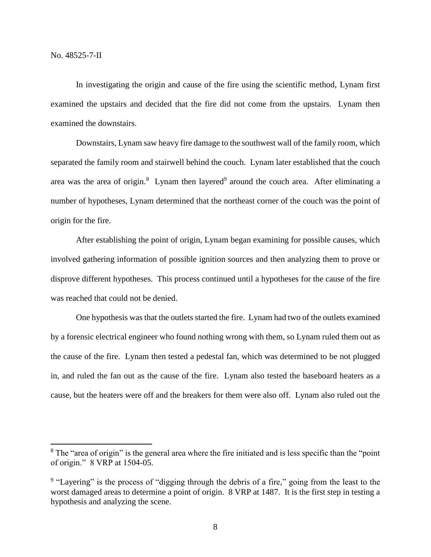$\overline{a}$ 

In investigating the origin and cause of the fire using the scientific method, Lynam first examined the upstairs and decided that the fire did not come from the upstairs. Lynam then examined the downstairs.

Downstairs, Lynam saw heavy fire damage to the southwest wall of the family room, which separated the family room and stairwell behind the couch. Lynam later established that the couch area was the area of origin. $8$  Lynam then layered<sup>9</sup> around the couch area. After eliminating a number of hypotheses, Lynam determined that the northeast corner of the couch was the point of origin for the fire.

After establishing the point of origin, Lynam began examining for possible causes, which involved gathering information of possible ignition sources and then analyzing them to prove or disprove different hypotheses. This process continued until a hypotheses for the cause of the fire was reached that could not be denied.

One hypothesis was that the outlets started the fire. Lynam had two of the outlets examined by a forensic electrical engineer who found nothing wrong with them, so Lynam ruled them out as the cause of the fire. Lynam then tested a pedestal fan, which was determined to be not plugged in, and ruled the fan out as the cause of the fire. Lynam also tested the baseboard heaters as a cause, but the heaters were off and the breakers for them were also off. Lynam also ruled out the

<sup>&</sup>lt;sup>8</sup> The "area of origin" is the general area where the fire initiated and is less specific than the "point" of origin." 8 VRP at 1504-05.

<sup>&</sup>lt;sup>9</sup> "Layering" is the process of "digging through the debris of a fire," going from the least to the worst damaged areas to determine a point of origin. 8 VRP at 1487. It is the first step in testing a hypothesis and analyzing the scene.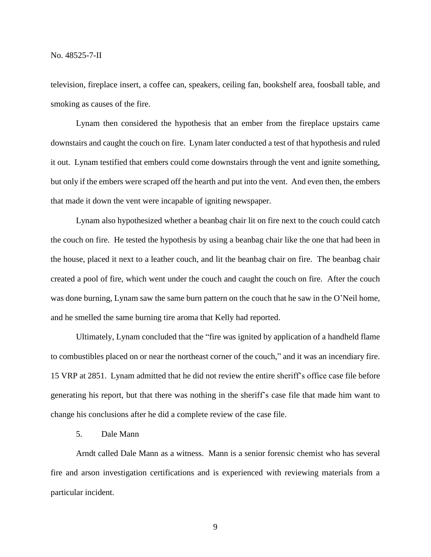television, fireplace insert, a coffee can, speakers, ceiling fan, bookshelf area, foosball table, and smoking as causes of the fire.

Lynam then considered the hypothesis that an ember from the fireplace upstairs came downstairs and caught the couch on fire. Lynam later conducted a test of that hypothesis and ruled it out. Lynam testified that embers could come downstairs through the vent and ignite something, but only if the embers were scraped off the hearth and put into the vent. And even then, the embers that made it down the vent were incapable of igniting newspaper.

Lynam also hypothesized whether a beanbag chair lit on fire next to the couch could catch the couch on fire. He tested the hypothesis by using a beanbag chair like the one that had been in the house, placed it next to a leather couch, and lit the beanbag chair on fire. The beanbag chair created a pool of fire, which went under the couch and caught the couch on fire. After the couch was done burning, Lynam saw the same burn pattern on the couch that he saw in the O'Neil home, and he smelled the same burning tire aroma that Kelly had reported.

Ultimately, Lynam concluded that the "fire was ignited by application of a handheld flame to combustibles placed on or near the northeast corner of the couch," and it was an incendiary fire. 15 VRP at 2851. Lynam admitted that he did not review the entire sheriff's office case file before generating his report, but that there was nothing in the sheriff's case file that made him want to change his conclusions after he did a complete review of the case file.

5. Dale Mann

Arndt called Dale Mann as a witness. Mann is a senior forensic chemist who has several fire and arson investigation certifications and is experienced with reviewing materials from a particular incident.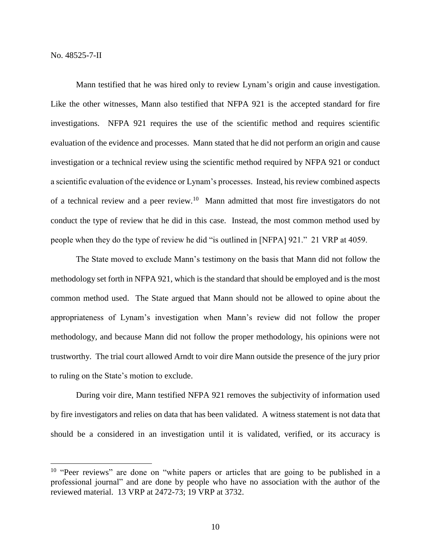No. 48525-7-II

 $\overline{a}$ 

Mann testified that he was hired only to review Lynam's origin and cause investigation. Like the other witnesses, Mann also testified that NFPA 921 is the accepted standard for fire investigations. NFPA 921 requires the use of the scientific method and requires scientific evaluation of the evidence and processes. Mann stated that he did not perform an origin and cause investigation or a technical review using the scientific method required by NFPA 921 or conduct a scientific evaluation of the evidence or Lynam's processes. Instead, his review combined aspects of a technical review and a peer review.<sup>10</sup> Mann admitted that most fire investigators do not conduct the type of review that he did in this case. Instead, the most common method used by people when they do the type of review he did "is outlined in [NFPA] 921." 21 VRP at 4059.

The State moved to exclude Mann's testimony on the basis that Mann did not follow the methodology set forth in NFPA 921, which is the standard that should be employed and is the most common method used. The State argued that Mann should not be allowed to opine about the appropriateness of Lynam's investigation when Mann's review did not follow the proper methodology, and because Mann did not follow the proper methodology, his opinions were not trustworthy. The trial court allowed Arndt to voir dire Mann outside the presence of the jury prior to ruling on the State's motion to exclude.

During voir dire, Mann testified NFPA 921 removes the subjectivity of information used by fire investigators and relies on data that has been validated. A witness statement is not data that should be a considered in an investigation until it is validated, verified, or its accuracy is

<sup>&</sup>lt;sup>10</sup> "Peer reviews" are done on "white papers or articles that are going to be published in a professional journal" and are done by people who have no association with the author of the reviewed material. 13 VRP at 2472-73; 19 VRP at 3732.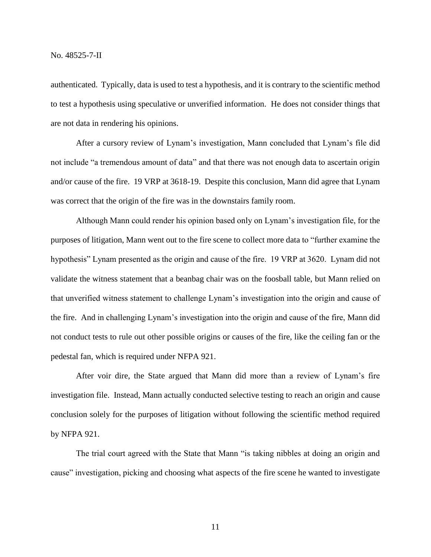authenticated. Typically, data is used to test a hypothesis, and it is contrary to the scientific method to test a hypothesis using speculative or unverified information. He does not consider things that are not data in rendering his opinions.

After a cursory review of Lynam's investigation, Mann concluded that Lynam's file did not include "a tremendous amount of data" and that there was not enough data to ascertain origin and/or cause of the fire. 19 VRP at 3618-19. Despite this conclusion, Mann did agree that Lynam was correct that the origin of the fire was in the downstairs family room.

Although Mann could render his opinion based only on Lynam's investigation file, for the purposes of litigation, Mann went out to the fire scene to collect more data to "further examine the hypothesis" Lynam presented as the origin and cause of the fire. 19 VRP at 3620. Lynam did not validate the witness statement that a beanbag chair was on the foosball table, but Mann relied on that unverified witness statement to challenge Lynam's investigation into the origin and cause of the fire. And in challenging Lynam's investigation into the origin and cause of the fire, Mann did not conduct tests to rule out other possible origins or causes of the fire, like the ceiling fan or the pedestal fan, which is required under NFPA 921.

After voir dire, the State argued that Mann did more than a review of Lynam's fire investigation file. Instead, Mann actually conducted selective testing to reach an origin and cause conclusion solely for the purposes of litigation without following the scientific method required by NFPA 921.

The trial court agreed with the State that Mann "is taking nibbles at doing an origin and cause" investigation, picking and choosing what aspects of the fire scene he wanted to investigate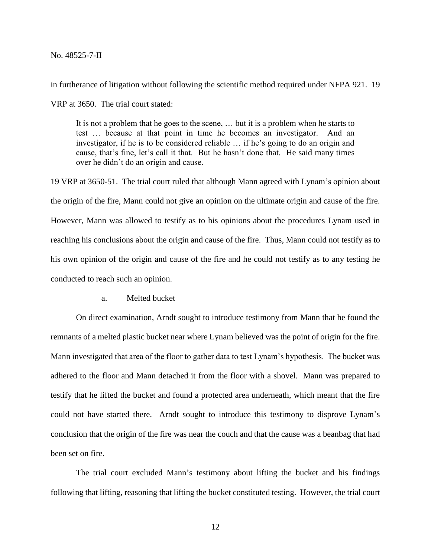No. 48525-7-II

in furtherance of litigation without following the scientific method required under NFPA 921. 19

VRP at 3650. The trial court stated:

It is not a problem that he goes to the scene, … but it is a problem when he starts to test … because at that point in time he becomes an investigator. And an investigator, if he is to be considered reliable … if he's going to do an origin and cause, that's fine, let's call it that. But he hasn't done that. He said many times over he didn't do an origin and cause.

19 VRP at 3650-51. The trial court ruled that although Mann agreed with Lynam's opinion about the origin of the fire, Mann could not give an opinion on the ultimate origin and cause of the fire. However, Mann was allowed to testify as to his opinions about the procedures Lynam used in reaching his conclusions about the origin and cause of the fire. Thus, Mann could not testify as to his own opinion of the origin and cause of the fire and he could not testify as to any testing he conducted to reach such an opinion.

a. Melted bucket

On direct examination, Arndt sought to introduce testimony from Mann that he found the remnants of a melted plastic bucket near where Lynam believed was the point of origin for the fire. Mann investigated that area of the floor to gather data to test Lynam's hypothesis. The bucket was adhered to the floor and Mann detached it from the floor with a shovel. Mann was prepared to testify that he lifted the bucket and found a protected area underneath, which meant that the fire could not have started there. Arndt sought to introduce this testimony to disprove Lynam's conclusion that the origin of the fire was near the couch and that the cause was a beanbag that had been set on fire.

The trial court excluded Mann's testimony about lifting the bucket and his findings following that lifting, reasoning that lifting the bucket constituted testing. However, the trial court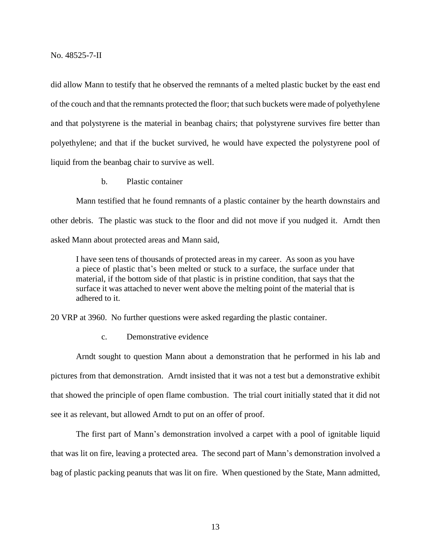did allow Mann to testify that he observed the remnants of a melted plastic bucket by the east end of the couch and that the remnants protected the floor; that such buckets were made of polyethylene and that polystyrene is the material in beanbag chairs; that polystyrene survives fire better than polyethylene; and that if the bucket survived, he would have expected the polystyrene pool of liquid from the beanbag chair to survive as well.

b. Plastic container

Mann testified that he found remnants of a plastic container by the hearth downstairs and other debris. The plastic was stuck to the floor and did not move if you nudged it. Arndt then asked Mann about protected areas and Mann said,

I have seen tens of thousands of protected areas in my career. As soon as you have a piece of plastic that's been melted or stuck to a surface, the surface under that material, if the bottom side of that plastic is in pristine condition, that says that the surface it was attached to never went above the melting point of the material that is adhered to it.

20 VRP at 3960. No further questions were asked regarding the plastic container.

c. Demonstrative evidence

Arndt sought to question Mann about a demonstration that he performed in his lab and pictures from that demonstration. Arndt insisted that it was not a test but a demonstrative exhibit that showed the principle of open flame combustion. The trial court initially stated that it did not see it as relevant, but allowed Arndt to put on an offer of proof.

The first part of Mann's demonstration involved a carpet with a pool of ignitable liquid that was lit on fire, leaving a protected area. The second part of Mann's demonstration involved a bag of plastic packing peanuts that was lit on fire. When questioned by the State, Mann admitted,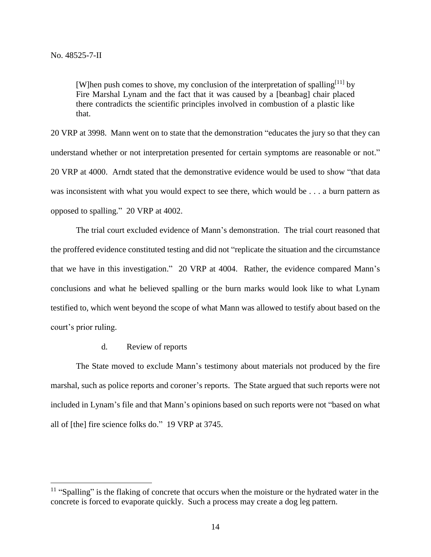$\overline{a}$ 

[W]hen push comes to shove, my conclusion of the interpretation of spalling $[11]$  by Fire Marshal Lynam and the fact that it was caused by a [beanbag] chair placed there contradicts the scientific principles involved in combustion of a plastic like that.

20 VRP at 3998. Mann went on to state that the demonstration "educates the jury so that they can understand whether or not interpretation presented for certain symptoms are reasonable or not." 20 VRP at 4000. Arndt stated that the demonstrative evidence would be used to show "that data was inconsistent with what you would expect to see there, which would be . . . a burn pattern as opposed to spalling." 20 VRP at 4002.

The trial court excluded evidence of Mann's demonstration. The trial court reasoned that the proffered evidence constituted testing and did not "replicate the situation and the circumstance that we have in this investigation." 20 VRP at 4004. Rather, the evidence compared Mann's conclusions and what he believed spalling or the burn marks would look like to what Lynam testified to, which went beyond the scope of what Mann was allowed to testify about based on the court's prior ruling.

d. Review of reports

The State moved to exclude Mann's testimony about materials not produced by the fire marshal, such as police reports and coroner's reports. The State argued that such reports were not included in Lynam's file and that Mann's opinions based on such reports were not "based on what all of [the] fire science folks do." 19 VRP at 3745.

<sup>&</sup>lt;sup>11</sup> "Spalling" is the flaking of concrete that occurs when the moisture or the hydrated water in the concrete is forced to evaporate quickly. Such a process may create a dog leg pattern.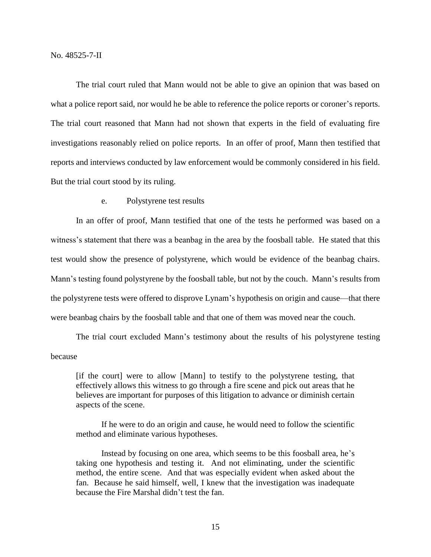The trial court ruled that Mann would not be able to give an opinion that was based on what a police report said, nor would he be able to reference the police reports or coroner's reports. The trial court reasoned that Mann had not shown that experts in the field of evaluating fire investigations reasonably relied on police reports. In an offer of proof, Mann then testified that reports and interviews conducted by law enforcement would be commonly considered in his field. But the trial court stood by its ruling.

# e. Polystyrene test results

In an offer of proof, Mann testified that one of the tests he performed was based on a witness's statement that there was a beanbag in the area by the foosball table. He stated that this test would show the presence of polystyrene, which would be evidence of the beanbag chairs. Mann's testing found polystyrene by the foosball table, but not by the couch. Mann's results from the polystyrene tests were offered to disprove Lynam's hypothesis on origin and cause—that there were beanbag chairs by the foosball table and that one of them was moved near the couch.

The trial court excluded Mann's testimony about the results of his polystyrene testing because

[if the court] were to allow [Mann] to testify to the polystyrene testing, that effectively allows this witness to go through a fire scene and pick out areas that he believes are important for purposes of this litigation to advance or diminish certain aspects of the scene.

If he were to do an origin and cause, he would need to follow the scientific method and eliminate various hypotheses.

Instead by focusing on one area, which seems to be this foosball area, he's taking one hypothesis and testing it. And not eliminating, under the scientific method, the entire scene. And that was especially evident when asked about the fan. Because he said himself, well, I knew that the investigation was inadequate because the Fire Marshal didn't test the fan.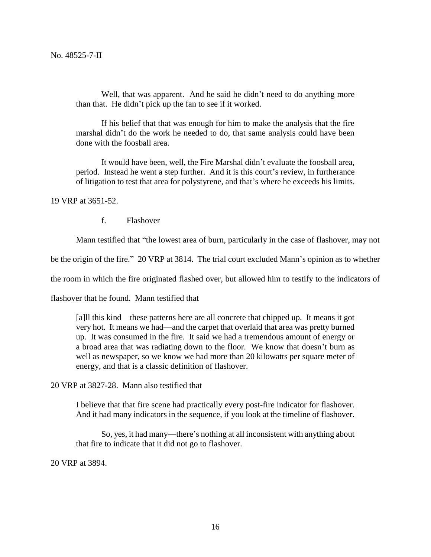Well, that was apparent. And he said he didn't need to do anything more than that. He didn't pick up the fan to see if it worked.

If his belief that that was enough for him to make the analysis that the fire marshal didn't do the work he needed to do, that same analysis could have been done with the foosball area.

It would have been, well, the Fire Marshal didn't evaluate the foosball area, period. Instead he went a step further. And it is this court's review, in furtherance of litigation to test that area for polystyrene, and that's where he exceeds his limits.

19 VRP at 3651-52.

f. Flashover

Mann testified that "the lowest area of burn, particularly in the case of flashover, may not

be the origin of the fire." 20 VRP at 3814. The trial court excluded Mann's opinion as to whether

the room in which the fire originated flashed over, but allowed him to testify to the indicators of

flashover that he found. Mann testified that

[a]ll this kind—these patterns here are all concrete that chipped up. It means it got very hot. It means we had—and the carpet that overlaid that area was pretty burned up. It was consumed in the fire. It said we had a tremendous amount of energy or a broad area that was radiating down to the floor. We know that doesn't burn as well as newspaper, so we know we had more than 20 kilowatts per square meter of energy, and that is a classic definition of flashover.

20 VRP at 3827-28. Mann also testified that

I believe that that fire scene had practically every post-fire indicator for flashover. And it had many indicators in the sequence, if you look at the timeline of flashover.

So, yes, it had many—there's nothing at all inconsistent with anything about that fire to indicate that it did not go to flashover.

20 VRP at 3894.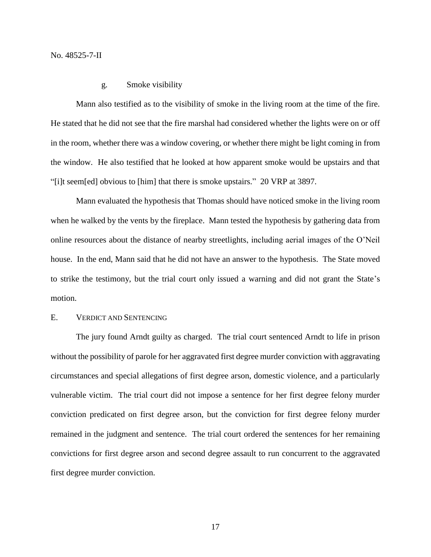No. 48525-7-II

## g. Smoke visibility

Mann also testified as to the visibility of smoke in the living room at the time of the fire. He stated that he did not see that the fire marshal had considered whether the lights were on or off in the room, whether there was a window covering, or whether there might be light coming in from the window. He also testified that he looked at how apparent smoke would be upstairs and that "[i]t seem[ed] obvious to [him] that there is smoke upstairs." 20 VRP at 3897.

Mann evaluated the hypothesis that Thomas should have noticed smoke in the living room when he walked by the vents by the fireplace. Mann tested the hypothesis by gathering data from online resources about the distance of nearby streetlights, including aerial images of the O'Neil house. In the end, Mann said that he did not have an answer to the hypothesis. The State moved to strike the testimony, but the trial court only issued a warning and did not grant the State's motion.

## E. VERDICT AND SENTENCING

The jury found Arndt guilty as charged. The trial court sentenced Arndt to life in prison without the possibility of parole for her aggravated first degree murder conviction with aggravating circumstances and special allegations of first degree arson, domestic violence, and a particularly vulnerable victim. The trial court did not impose a sentence for her first degree felony murder conviction predicated on first degree arson, but the conviction for first degree felony murder remained in the judgment and sentence. The trial court ordered the sentences for her remaining convictions for first degree arson and second degree assault to run concurrent to the aggravated first degree murder conviction.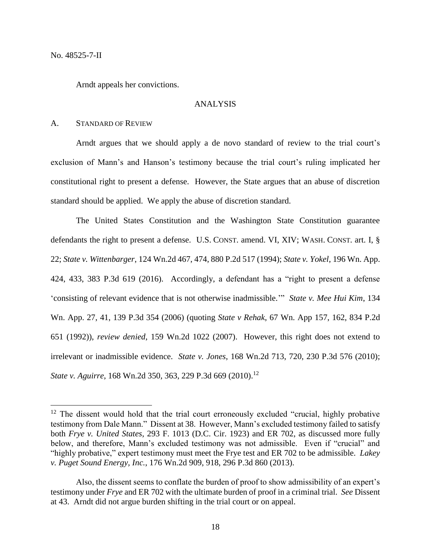$\overline{a}$ 

Arndt appeals her convictions.

#### ANALYSIS

#### A. STANDARD OF REVIEW

Arndt argues that we should apply a de novo standard of review to the trial court's exclusion of Mann's and Hanson's testimony because the trial court's ruling implicated her constitutional right to present a defense. However, the State argues that an abuse of discretion standard should be applied. We apply the abuse of discretion standard.

The United States Constitution and the Washington State Constitution guarantee defendants the right to present a defense. U.S. CONST. amend. VI, XIV; WASH. CONST. art. I, § 22; *State v. Wittenbarger*, 124 Wn.2d 467, 474, 880 P.2d 517 (1994); *State v. Yokel*, 196 Wn. App. 424, 433, 383 P.3d 619 (2016). Accordingly, a defendant has a "right to present a defense 'consisting of relevant evidence that is not otherwise inadmissible.'" *State v. Mee Hui Kim*, 134 Wn. App. 27, 41, 139 P.3d 354 (2006) (quoting *State v Rehak*, 67 Wn. App 157, 162, 834 P.2d 651 (1992)), *review denied*, 159 Wn.2d 1022 (2007). However, this right does not extend to irrelevant or inadmissible evidence. *State v. Jones*, 168 Wn.2d 713, 720, 230 P.3d 576 (2010); *State v. Aguirre*, 168 Wn.2d 350, 363, 229 P.3d 669 (2010). 12

<sup>&</sup>lt;sup>12</sup> The dissent would hold that the trial court erroneously excluded "crucial, highly probative testimony from Dale Mann." Dissent at 38. However, Mann's excluded testimony failed to satisfy both *Frye v. United States*, 293 F. 1013 (D.C. Cir. 1923) and ER 702, as discussed more fully below, and therefore, Mann's excluded testimony was not admissible. Even if "crucial" and "highly probative," expert testimony must meet the Frye test and ER 702 to be admissible. *Lakey v. Puget Sound Energy, Inc.*, 176 Wn.2d 909, 918, 296 P.3d 860 (2013).

Also, the dissent seems to conflate the burden of proof to show admissibility of an expert's testimony under *Frye* and ER 702 with the ultimate burden of proof in a criminal trial. *See* Dissent at 43. Arndt did not argue burden shifting in the trial court or on appeal.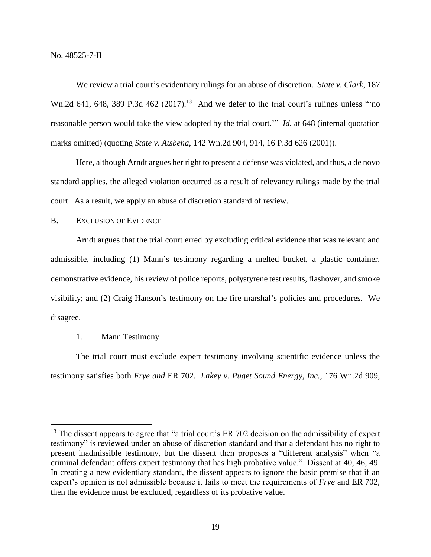We review a trial court's evidentiary rulings for an abuse of discretion. *State v. Clark*, 187 Wn.2d 641, 648, 389 P.3d 462  $(2017).<sup>13</sup>$  And we defer to the trial court's rulings unless "no reasonable person would take the view adopted by the trial court.'" *Id.* at 648 (internal quotation marks omitted) (quoting *State v. Atsbeha*, 142 Wn.2d 904, 914, 16 P.3d 626 (2001)).

Here, although Arndt argues her right to present a defense was violated, and thus, a de novo standard applies, the alleged violation occurred as a result of relevancy rulings made by the trial court. As a result, we apply an abuse of discretion standard of review.

# B. EXCLUSION OF EVIDENCE

Arndt argues that the trial court erred by excluding critical evidence that was relevant and admissible, including (1) Mann's testimony regarding a melted bucket, a plastic container, demonstrative evidence, his review of police reports, polystyrene test results, flashover, and smoke visibility; and (2) Craig Hanson's testimony on the fire marshal's policies and procedures. We disagree.

## 1. Mann Testimony

 $\overline{a}$ 

The trial court must exclude expert testimony involving scientific evidence unless the testimony satisfies both *Frye and* ER 702. *Lakey v. Puget Sound Energy, Inc.*, 176 Wn.2d 909,

 $<sup>13</sup>$  The dissent appears to agree that "a trial court's ER 702 decision on the admissibility of expert</sup> testimony" is reviewed under an abuse of discretion standard and that a defendant has no right to present inadmissible testimony, but the dissent then proposes a "different analysis" when "a criminal defendant offers expert testimony that has high probative value." Dissent at 40, 46, 49. In creating a new evidentiary standard, the dissent appears to ignore the basic premise that if an expert's opinion is not admissible because it fails to meet the requirements of *Frye* and ER 702, then the evidence must be excluded, regardless of its probative value.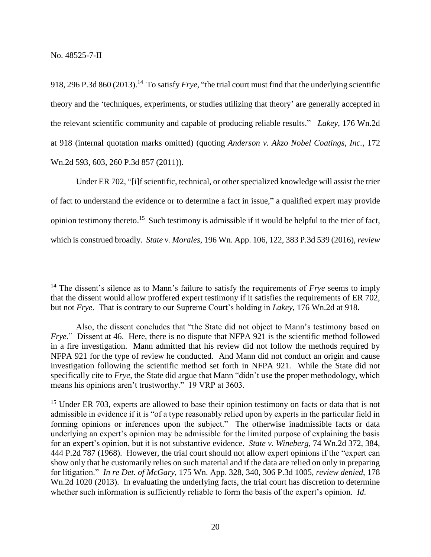$\overline{a}$ 

918, 296 P.3d 860 (2013).<sup>14</sup> To satisfy *Frye*, "the trial court must find that the underlying scientific theory and the 'techniques, experiments, or studies utilizing that theory' are generally accepted in the relevant scientific community and capable of producing reliable results." *Lakey*, 176 Wn.2d at 918 (internal quotation marks omitted) (quoting *[Anderson v. Akzo Nobel Coatings, Inc.](https://1.next.westlaw.com/Link/Document/FullText?findType=Y&serNum=2026090386&pubNum=0004645&originatingDoc=I78014a1289e611e28a21ccb9036b2470&refType=RP&originationContext=document&transitionType=DocumentItem&contextData=(sc.Default))*, 172 [Wn.2d 593, 603, 260 P.3d 857 \(2011\)\)](https://1.next.westlaw.com/Link/Document/FullText?findType=Y&serNum=2026090386&pubNum=0004645&originatingDoc=I78014a1289e611e28a21ccb9036b2470&refType=RP&originationContext=document&transitionType=DocumentItem&contextData=(sc.Default)).

Under ER 702, "[i]f scientific, technical, or other specialized knowledge will assist the trier of fact to understand the evidence or to determine a fact in issue," a qualified expert may provide opinion testimony thereto.<sup>15</sup> Such testimony is admissible if it would be helpful to the trier of fact, which is construed broadly. *State v. Morales*, 196 Wn. App. 106, 122, 383 P.3d 539 (2016), *review* 

<sup>&</sup>lt;sup>14</sup> The dissent's silence as to Mann's failure to satisfy the requirements of *Frye* seems to imply that the dissent would allow proffered expert testimony if it satisfies the requirements of ER 702, but not *Frye*. That is contrary to our Supreme Court's holding in *Lakey*, 176 Wn.2d at 918.

Also, the dissent concludes that "the State did not object to Mann's testimony based on *Frye.*" Dissent at 46. Here, there is no dispute that NFPA 921 is the scientific method followed in a fire investigation. Mann admitted that his review did not follow the methods required by NFPA 921 for the type of review he conducted. And Mann did not conduct an origin and cause investigation following the scientific method set forth in NFPA 921. While the State did not specifically cite to *Frye*, the State did argue that Mann "didn't use the proper methodology, which means his opinions aren't trustworthy." 19 VRP at 3603.

<sup>&</sup>lt;sup>15</sup> Under ER 703, experts are allowed to base their opinion testimony on facts or data that is not admissible in evidence if it is "of a type reasonably relied upon by experts in the particular field in forming opinions or inferences upon the subject." The otherwise inadmissible facts or data underlying an expert's opinion may be admissible for the limited purpose of explaining the basis for an expert's opinion, but it is not substantive evidence. *State v. Wineberg*, 74 Wn.2d 372, 384, 444 P.2d 787 (1968). However, the trial court should not allow expert opinions if the "expert can show only that he customarily relies on such material and if the data are relied on only in preparing for litigation." *In re Det. of McGary*, 175 Wn. App. 328, 340, 306 P.3d 1005, *review denied*, 178 Wn.2d 1020 (2013). In evaluating the underlying facts, the trial court has discretion to determine whether such information is sufficiently reliable to form the basis of the expert's opinion. *Id*.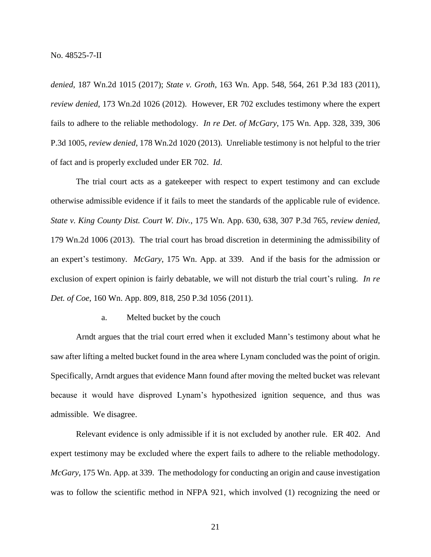*denied*, 187 Wn.2d 1015 (2017); *State v. Groth*, 163 Wn. App. 548, 564, 261 P.3d 183 (2011), *review denied*, 173 Wn.2d 1026 (2012). However, ER 702 excludes testimony where the expert fails to adhere to the reliable methodology. *In re Det. of McGary*, 175 Wn. App. 328, 339, 306 P.3d 1005, *review denied*, 178 Wn.2d 1020 (2013). Unreliable testimony is not helpful to the trier of fact and is properly excluded under ER 702. *Id*.

The trial court acts as a gatekeeper with respect to expert testimony and can exclude otherwise admissible evidence if it fails to meet the standards of the applicable rule of evidence. *State v. King County Dist. Court W. Div.*, 175 Wn. App. 630, 638, 307 P.3d 765, *review denied*, 179 Wn.2d 1006 (2013). The trial court has broad discretion in determining the admissibility of an expert's testimony. *McGary*, 175 Wn. App. at 339. And if the basis for the admission or exclusion of expert opinion is fairly debatable, we will not disturb the trial court's ruling. *In re Det. of Coe*, 160 Wn. App. 809, 818, 250 P.3d 1056 (2011).

## a. Melted bucket by the couch

Arndt argues that the trial court erred when it excluded Mann's testimony about what he saw after lifting a melted bucket found in the area where Lynam concluded was the point of origin. Specifically, Arndt argues that evidence Mann found after moving the melted bucket was relevant because it would have disproved Lynam's hypothesized ignition sequence, and thus was admissible. We disagree.

Relevant evidence is only admissible if it is not excluded by another rule. ER 402. And expert testimony may be excluded where the expert fails to adhere to the reliable methodology. *McGary*, 175 Wn. App. at 339. The methodology for conducting an origin and cause investigation was to follow the scientific method in NFPA 921, which involved (1) recognizing the need or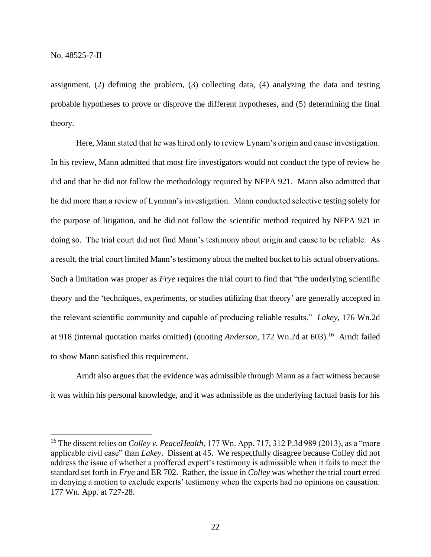$\overline{a}$ 

assignment, (2) defining the problem, (3) collecting data, (4) analyzing the data and testing probable hypotheses to prove or disprove the different hypotheses, and (5) determining the final theory.

Here, Mann stated that he was hired only to review Lynam's origin and cause investigation. In his review, Mann admitted that most fire investigators would not conduct the type of review he did and that he did not follow the methodology required by NFPA 921. Mann also admitted that he did more than a review of Lynman's investigation. Mann conducted selective testing solely for the purpose of litigation, and he did not follow the scientific method required by NFPA 921 in doing so. The trial court did not find Mann's testimony about origin and cause to be reliable. As a result, the trial court limited Mann's testimony about the melted bucket to his actual observations. Such a limitation was proper as *Frye* requires the trial court to find that "the underlying scientific theory and the 'techniques, experiments, or studies utilizing that theory' are generally accepted in the relevant scientific community and capable of producing reliable results." *Lakey*, 176 Wn.2d at 918 (internal quotation marks omitted) (quoting *Anderson*, 172 Wn.2d at 603). 16 Arndt failed to show Mann satisfied this requirement.

Arndt also argues that the evidence was admissible through Mann as a fact witness because it was within his personal knowledge, and it was admissible as the underlying factual basis for his

<sup>&</sup>lt;sup>16</sup> The dissent relies on *Colley v. PeaceHealth*, 177 Wn. App. 717, 312 P.3d 989 (2013), as a "more applicable civil case" than *Lakey*. Dissent at 45. We respectfully disagree because Colley did not address the issue of whether a proffered expert's testimony is admissible when it fails to meet the standard set forth in *Frye* and ER 702. Rather, the issue in *Colley* was whether the trial court erred in denying a motion to exclude experts' testimony when the experts had no opinions on causation. 177 Wn. App. at 727-28.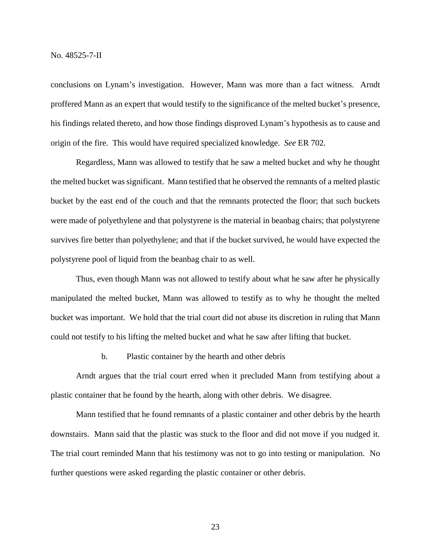conclusions on Lynam's investigation. However, Mann was more than a fact witness. Arndt proffered Mann as an expert that would testify to the significance of the melted bucket's presence, his findings related thereto, and how those findings disproved Lynam's hypothesis as to cause and origin of the fire. This would have required specialized knowledge. *See* ER 702.

Regardless, Mann was allowed to testify that he saw a melted bucket and why he thought the melted bucket was significant. Mann testified that he observed the remnants of a melted plastic bucket by the east end of the couch and that the remnants protected the floor; that such buckets were made of polyethylene and that polystyrene is the material in beanbag chairs; that polystyrene survives fire better than polyethylene; and that if the bucket survived, he would have expected the polystyrene pool of liquid from the beanbag chair to as well.

Thus, even though Mann was not allowed to testify about what he saw after he physically manipulated the melted bucket, Mann was allowed to testify as to why he thought the melted bucket was important. We hold that the trial court did not abuse its discretion in ruling that Mann could not testify to his lifting the melted bucket and what he saw after lifting that bucket.

b. Plastic container by the hearth and other debris

Arndt argues that the trial court erred when it precluded Mann from testifying about a plastic container that he found by the hearth, along with other debris. We disagree.

Mann testified that he found remnants of a plastic container and other debris by the hearth downstairs. Mann said that the plastic was stuck to the floor and did not move if you nudged it. The trial court reminded Mann that his testimony was not to go into testing or manipulation. No further questions were asked regarding the plastic container or other debris.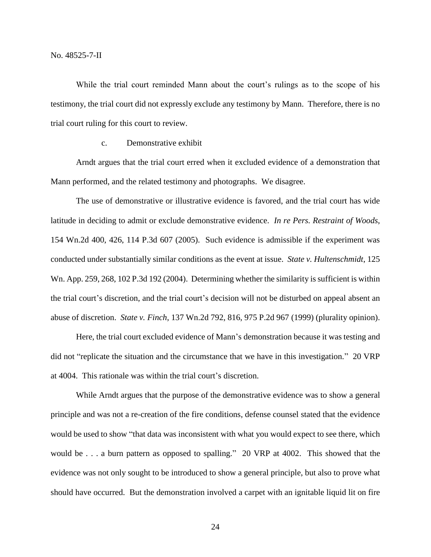While the trial court reminded Mann about the court's rulings as to the scope of his testimony, the trial court did not expressly exclude any testimony by Mann. Therefore, there is no trial court ruling for this court to review.

# c. Demonstrative exhibit

Arndt argues that the trial court erred when it excluded evidence of a demonstration that Mann performed, and the related testimony and photographs. We disagree.

The use of demonstrative or illustrative evidence is favored, and the trial court has wide latitude in deciding to admit or exclude demonstrative evidence. *In re Pers. Restraint of Woods*, 154 Wn.2d 400, 426, 114 P.3d 607 (2005). Such evidence is admissible if the experiment was conducted under substantially similar conditions as the event at issue. *State v. Hultenschmidt*, 125 Wn. App. 259, 268, 102 P.3d 192 (2004). Determining whether the similarity is sufficient is within the trial court's discretion, and the trial court's decision will not be disturbed on appeal absent an abuse of discretion. *State v. Finch*, 137 Wn.2d 792, 816, 975 P.2d 967 (1999) (plurality opinion).

Here, the trial court excluded evidence of Mann's demonstration because it was testing and did not "replicate the situation and the circumstance that we have in this investigation." 20 VRP at 4004. This rationale was within the trial court's discretion.

While Arndt argues that the purpose of the demonstrative evidence was to show a general principle and was not a re-creation of the fire conditions, defense counsel stated that the evidence would be used to show "that data was inconsistent with what you would expect to see there, which would be . . . a burn pattern as opposed to spalling." 20 VRP at 4002. This showed that the evidence was not only sought to be introduced to show a general principle, but also to prove what should have occurred. But the demonstration involved a carpet with an ignitable liquid lit on fire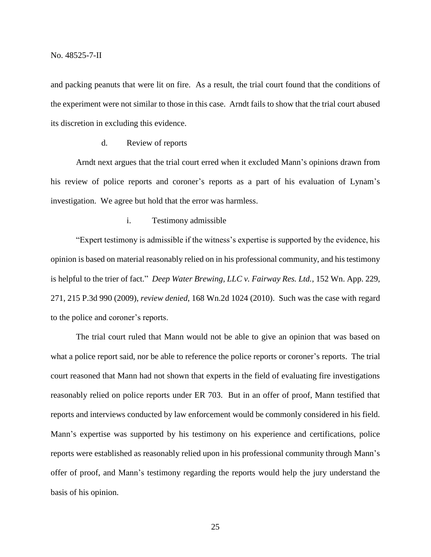and packing peanuts that were lit on fire. As a result, the trial court found that the conditions of the experiment were not similar to those in this case. Arndt fails to show that the trial court abused its discretion in excluding this evidence.

## d. Review of reports

Arndt next argues that the trial court erred when it excluded Mann's opinions drawn from his review of police reports and coroner's reports as a part of his evaluation of Lynam's investigation. We agree but hold that the error was harmless.

#### i. Testimony admissible

"Expert testimony is admissible if the witness's expertise is supported by the evidence, his opinion is based on material reasonably relied on in his professional community, and his testimony is helpful to the trier of fact." *Deep Water Brewing, LLC v. Fairway Res. Ltd.*, 152 Wn. App. 229, 271, 215 P.3d 990 (2009), *review denied*, 168 Wn.2d 1024 (2010). Such was the case with regard to the police and coroner's reports.

The trial court ruled that Mann would not be able to give an opinion that was based on what a police report said, nor be able to reference the police reports or coroner's reports. The trial court reasoned that Mann had not shown that experts in the field of evaluating fire investigations reasonably relied on police reports under ER 703. But in an offer of proof, Mann testified that reports and interviews conducted by law enforcement would be commonly considered in his field. Mann's expertise was supported by his testimony on his experience and certifications, police reports were established as reasonably relied upon in his professional community through Mann's offer of proof, and Mann's testimony regarding the reports would help the jury understand the basis of his opinion.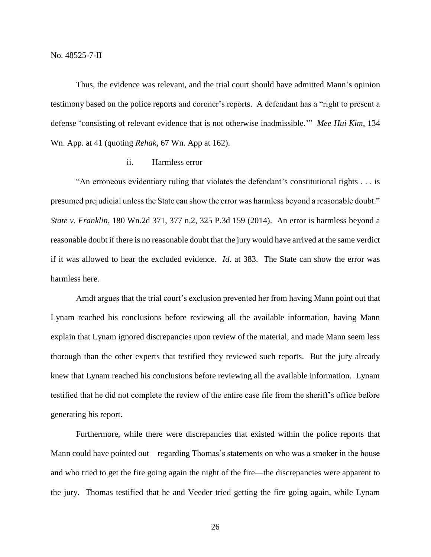Thus, the evidence was relevant, and the trial court should have admitted Mann's opinion testimony based on the police reports and coroner's reports. A defendant has a "right to present a defense 'consisting of relevant evidence that is not otherwise inadmissible.'" *Mee Hui Kim*, 134 Wn. App. at 41 (quoting *Rehak*, 67 Wn. App at 162).

# ii. Harmless error

"An erroneous evidentiary ruling that violates the defendant's constitutional rights . . . is presumed prejudicial unless the State can show the error was harmless beyond a reasonable doubt." *State v. Franklin*, 180 Wn.2d 371, 377 n.2, 325 P.3d 159 (2014). An error is harmless beyond a reasonable doubt if there is no reasonable doubt that the jury would have arrived at the same verdict if it was allowed to hear the excluded evidence. *Id*. at 383. The State can show the error was harmless here.

Arndt argues that the trial court's exclusion prevented her from having Mann point out that Lynam reached his conclusions before reviewing all the available information, having Mann explain that Lynam ignored discrepancies upon review of the material, and made Mann seem less thorough than the other experts that testified they reviewed such reports. But the jury already knew that Lynam reached his conclusions before reviewing all the available information. Lynam testified that he did not complete the review of the entire case file from the sheriff's office before generating his report.

Furthermore, while there were discrepancies that existed within the police reports that Mann could have pointed out—regarding Thomas's statements on who was a smoker in the house and who tried to get the fire going again the night of the fire—the discrepancies were apparent to the jury. Thomas testified that he and Veeder tried getting the fire going again, while Lynam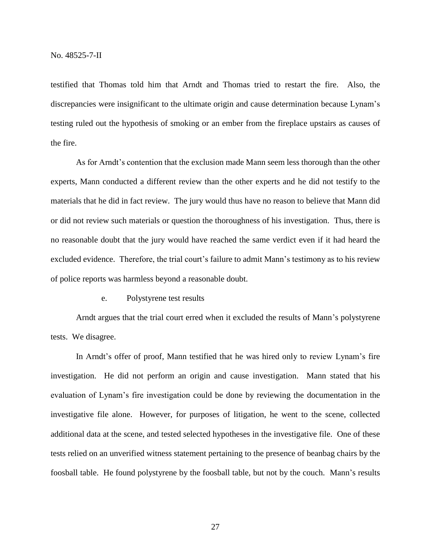testified that Thomas told him that Arndt and Thomas tried to restart the fire. Also, the discrepancies were insignificant to the ultimate origin and cause determination because Lynam's testing ruled out the hypothesis of smoking or an ember from the fireplace upstairs as causes of the fire.

As for Arndt's contention that the exclusion made Mann seem less thorough than the other experts, Mann conducted a different review than the other experts and he did not testify to the materials that he did in fact review. The jury would thus have no reason to believe that Mann did or did not review such materials or question the thoroughness of his investigation. Thus, there is no reasonable doubt that the jury would have reached the same verdict even if it had heard the excluded evidence. Therefore, the trial court's failure to admit Mann's testimony as to his review of police reports was harmless beyond a reasonable doubt.

e. Polystyrene test results

Arndt argues that the trial court erred when it excluded the results of Mann's polystyrene tests. We disagree.

In Arndt's offer of proof, Mann testified that he was hired only to review Lynam's fire investigation. He did not perform an origin and cause investigation. Mann stated that his evaluation of Lynam's fire investigation could be done by reviewing the documentation in the investigative file alone. However, for purposes of litigation, he went to the scene, collected additional data at the scene, and tested selected hypotheses in the investigative file. One of these tests relied on an unverified witness statement pertaining to the presence of beanbag chairs by the foosball table. He found polystyrene by the foosball table, but not by the couch. Mann's results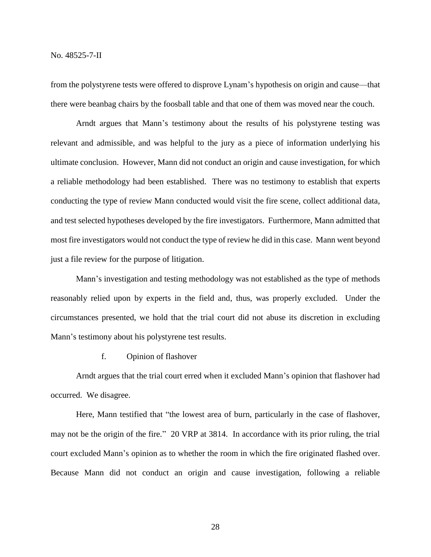from the polystyrene tests were offered to disprove Lynam's hypothesis on origin and cause—that there were beanbag chairs by the foosball table and that one of them was moved near the couch.

Arndt argues that Mann's testimony about the results of his polystyrene testing was relevant and admissible, and was helpful to the jury as a piece of information underlying his ultimate conclusion. However, Mann did not conduct an origin and cause investigation, for which a reliable methodology had been established. There was no testimony to establish that experts conducting the type of review Mann conducted would visit the fire scene, collect additional data, and test selected hypotheses developed by the fire investigators. Furthermore, Mann admitted that most fire investigators would not conduct the type of review he did in this case. Mann went beyond just a file review for the purpose of litigation.

Mann's investigation and testing methodology was not established as the type of methods reasonably relied upon by experts in the field and, thus, was properly excluded. Under the circumstances presented, we hold that the trial court did not abuse its discretion in excluding Mann's testimony about his polystyrene test results.

f. Opinion of flashover

Arndt argues that the trial court erred when it excluded Mann's opinion that flashover had occurred. We disagree.

Here, Mann testified that "the lowest area of burn, particularly in the case of flashover, may not be the origin of the fire." 20 VRP at 3814. In accordance with its prior ruling, the trial court excluded Mann's opinion as to whether the room in which the fire originated flashed over. Because Mann did not conduct an origin and cause investigation, following a reliable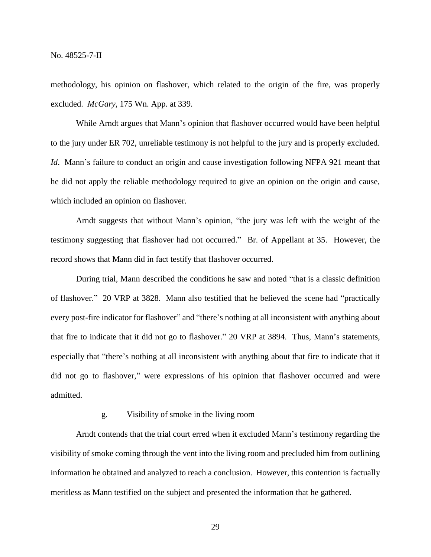methodology, his opinion on flashover, which related to the origin of the fire, was properly excluded. *McGary*, 175 Wn. App. at 339.

While Arndt argues that Mann's opinion that flashover occurred would have been helpful to the jury under ER 702, unreliable testimony is not helpful to the jury and is properly excluded. *Id.* Mann's failure to conduct an origin and cause investigation following NFPA 921 meant that he did not apply the reliable methodology required to give an opinion on the origin and cause, which included an opinion on flashover.

Arndt suggests that without Mann's opinion, "the jury was left with the weight of the testimony suggesting that flashover had not occurred." Br. of Appellant at 35. However, the record shows that Mann did in fact testify that flashover occurred.

During trial, Mann described the conditions he saw and noted "that is a classic definition of flashover." 20 VRP at 3828. Mann also testified that he believed the scene had "practically every post-fire indicator for flashover" and "there's nothing at all inconsistent with anything about that fire to indicate that it did not go to flashover." 20 VRP at 3894. Thus, Mann's statements, especially that "there's nothing at all inconsistent with anything about that fire to indicate that it did not go to flashover," were expressions of his opinion that flashover occurred and were admitted.

## g. Visibility of smoke in the living room

Arndt contends that the trial court erred when it excluded Mann's testimony regarding the visibility of smoke coming through the vent into the living room and precluded him from outlining information he obtained and analyzed to reach a conclusion. However, this contention is factually meritless as Mann testified on the subject and presented the information that he gathered.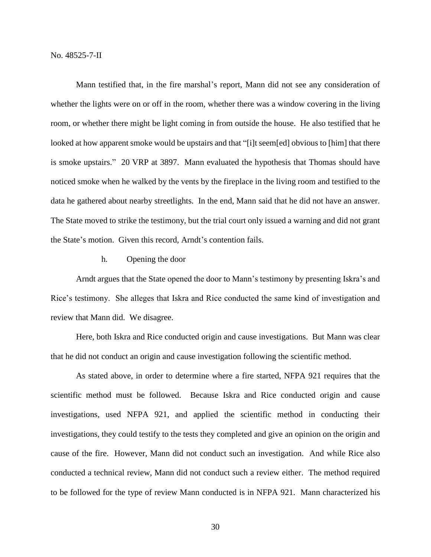Mann testified that, in the fire marshal's report, Mann did not see any consideration of whether the lights were on or off in the room, whether there was a window covering in the living room, or whether there might be light coming in from outside the house. He also testified that he looked at how apparent smoke would be upstairs and that "[i]t seem[ed] obvious to [him] that there is smoke upstairs." 20 VRP at 3897. Mann evaluated the hypothesis that Thomas should have noticed smoke when he walked by the vents by the fireplace in the living room and testified to the data he gathered about nearby streetlights. In the end, Mann said that he did not have an answer. The State moved to strike the testimony, but the trial court only issued a warning and did not grant the State's motion. Given this record, Arndt's contention fails.

## h. Opening the door

Arndt argues that the State opened the door to Mann's testimony by presenting Iskra's and Rice's testimony. She alleges that Iskra and Rice conducted the same kind of investigation and review that Mann did. We disagree.

Here, both Iskra and Rice conducted origin and cause investigations. But Mann was clear that he did not conduct an origin and cause investigation following the scientific method.

As stated above, in order to determine where a fire started, NFPA 921 requires that the scientific method must be followed. Because Iskra and Rice conducted origin and cause investigations, used NFPA 921, and applied the scientific method in conducting their investigations, they could testify to the tests they completed and give an opinion on the origin and cause of the fire. However, Mann did not conduct such an investigation. And while Rice also conducted a technical review, Mann did not conduct such a review either. The method required to be followed for the type of review Mann conducted is in NFPA 921. Mann characterized his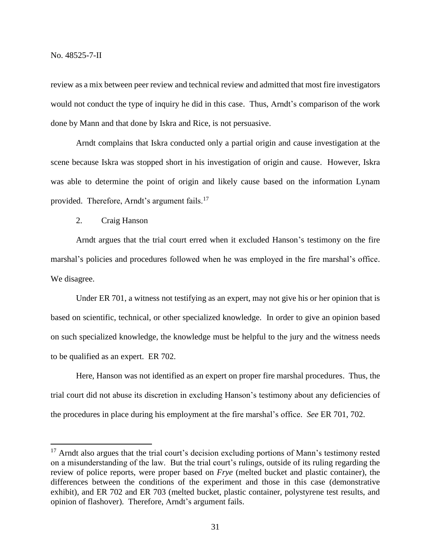$\overline{a}$ 

review as a mix between peer review and technical review and admitted that most fire investigators would not conduct the type of inquiry he did in this case. Thus, Arndt's comparison of the work done by Mann and that done by Iskra and Rice, is not persuasive.

Arndt complains that Iskra conducted only a partial origin and cause investigation at the scene because Iskra was stopped short in his investigation of origin and cause. However, Iskra was able to determine the point of origin and likely cause based on the information Lynam provided. Therefore, Arndt's argument fails.<sup>17</sup>

2. Craig Hanson

Arndt argues that the trial court erred when it excluded Hanson's testimony on the fire marshal's policies and procedures followed when he was employed in the fire marshal's office. We disagree.

Under ER 701, a witness not testifying as an expert, may not give his or her opinion that is based on scientific, technical, or other specialized knowledge. In order to give an opinion based on such specialized knowledge, the knowledge must be helpful to the jury and the witness needs to be qualified as an expert. ER 702.

Here, Hanson was not identified as an expert on proper fire marshal procedures. Thus, the trial court did not abuse its discretion in excluding Hanson's testimony about any deficiencies of the procedures in place during his employment at the fire marshal's office. *See* ER 701, 702.

<sup>&</sup>lt;sup>17</sup> Arndt also argues that the trial court's decision excluding portions of Mann's testimony rested on a misunderstanding of the law. But the trial court's rulings, outside of its ruling regarding the review of police reports, were proper based on *Frye* (melted bucket and plastic container), the differences between the conditions of the experiment and those in this case (demonstrative exhibit), and ER 702 and ER 703 (melted bucket, plastic container, polystyrene test results, and opinion of flashover). Therefore, Arndt's argument fails.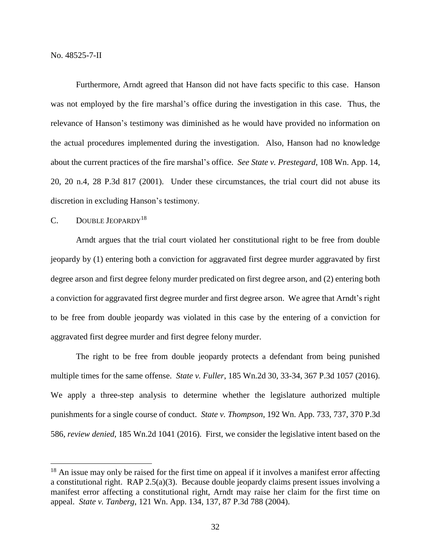Furthermore, Arndt agreed that Hanson did not have facts specific to this case. Hanson was not employed by the fire marshal's office during the investigation in this case. Thus, the relevance of Hanson's testimony was diminished as he would have provided no information on the actual procedures implemented during the investigation. Also, Hanson had no knowledge about the current practices of the fire marshal's office. *See State v. Prestegard*, 108 Wn. App. 14, 20, 20 n.4, 28 P.3d 817 (2001). Under these circumstances, the trial court did not abuse its discretion in excluding Hanson's testimony.

#### C. DOUBLE JEOPARDY<sup>18</sup>

 $\overline{a}$ 

Arndt argues that the trial court violated her constitutional right to be free from double jeopardy by (1) entering both a conviction for aggravated first degree murder aggravated by first degree arson and first degree felony murder predicated on first degree arson, and (2) entering both a conviction for aggravated first degree murder and first degree arson. We agree that Arndt's right to be free from double jeopardy was violated in this case by the entering of a conviction for aggravated first degree murder and first degree felony murder.

The right to be free from double jeopardy protects a defendant from being punished multiple times for the same offense. *State v. Fuller*, 185 Wn.2d 30, 33-34, 367 P.3d 1057 (2016). We apply a three-step analysis to determine whether the legislature authorized multiple punishments for a single course of conduct. *State v. Thompson*, 192 Wn. App. 733, 737, 370 P.3d 586, *review denied*, 185 Wn.2d 1041 (2016). First, we consider the legislative intent based on the

 $18$  An issue may only be raised for the first time on appeal if it involves a manifest error affecting a constitutional right. RAP 2.5(a)(3). Because double jeopardy claims present issues involving a manifest error affecting a constitutional right, Arndt may raise her claim for the first time on appeal. *State v. Tanberg*, 121 Wn. App. 134, 137, 87 P.3d 788 (2004).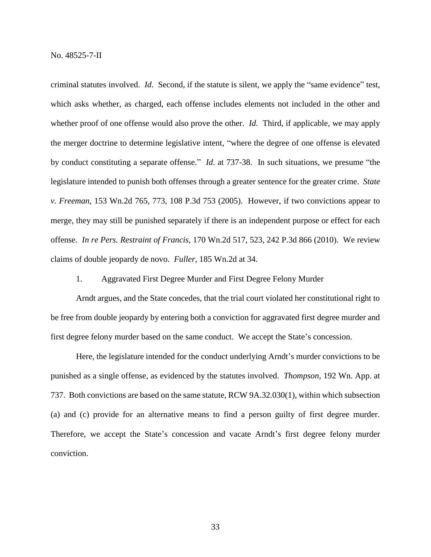criminal statutes involved. *Id*. Second, if the statute is silent, we apply the "same evidence" test, which asks whether, as charged, each offense includes elements not included in the other and whether proof of one offense would also prove the other. *Id*. Third, if applicable, we may apply the merger doctrine to determine legislative intent, "where the degree of one offense is elevated by conduct constituting a separate offense." *Id*. at 737-38. In such situations, we presume "the legislature intended to punish both offenses through a greater sentence for the greater crime. *State v. Freeman*, 153 Wn.2d 765, 773, 108 P.3d 753 (2005). However, if two convictions appear to merge, they may still be punished separately if there is an independent purpose or effect for each offense. *In re Pers. Restraint of Francis*, 170 Wn.2d 517, 523, 242 P.3d 866 (2010). We review claims of double jeopardy de novo. *Fuller*, 185 Wn.2d at 34.

1. Aggravated First Degree Murder and First Degree Felony Murder

Arndt argues, and the State concedes, that the trial court violated her constitutional right to be free from double jeopardy by entering both a conviction for aggravated first degree murder and first degree felony murder based on the same conduct. We accept the State's concession.

Here, the legislature intended for the conduct underlying Arndt's murder convictions to be punished as a single offense, as evidenced by the statutes involved. *Thompson*, 192 Wn. App. at 737. Both convictions are based on the same statute, RCW 9A.32.030(1), within which subsection (a) and (c) provide for an alternative means to find a person guilty of first degree murder. Therefore, we accept the State's concession and vacate Arndt's first degree felony murder conviction.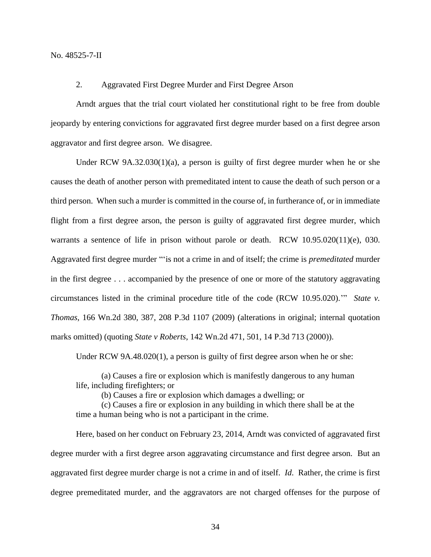No. 48525-7-II

#### 2. Aggravated First Degree Murder and First Degree Arson

Arndt argues that the trial court violated her constitutional right to be free from double jeopardy by entering convictions for aggravated first degree murder based on a first degree arson aggravator and first degree arson. We disagree.

Under RCW 9A.32.030(1)(a), a person is guilty of first degree murder when he or she causes the death of another person with premeditated intent to cause the death of such person or a third person. When such a murder is committed in the course of, in furtherance of, or in immediate flight from a first degree arson, the person is guilty of aggravated first degree murder, which warrants a sentence of life in prison without parole or death. RCW 10.95.020(11)(e), 030. Aggravated first degree murder "'is not a crime in and of itself; the crime is *premeditated* murder in the first degree . . . accompanied by the presence of one or more of the statutory aggravating circumstances listed in the criminal procedure title of the code (RCW 10.95.020).'" *State v. Thomas*, 166 Wn.2d 380, 387, 208 P.3d 1107 (2009) (alterations in original; internal quotation marks omitted) (quoting *State v Roberts*, 142 Wn.2d 471, 501, 14 P.3d 713 (2000)).

Under RCW 9A.48.020(1), a person is guilty of first degree arson when he or she:

(a) Causes a fire or explosion which is manifestly dangerous to any human life, including firefighters; or

(b) Causes a fire or explosion which damages a dwelling; or

(c) Causes a fire or explosion in any building in which there shall be at the time a human being who is not a participant in the crime.

Here, based on her conduct on February 23, 2014, Arndt was convicted of aggravated first degree murder with a first degree arson aggravating circumstance and first degree arson. But an aggravated first degree murder charge is not a crime in and of itself. *Id*. Rather, the crime is first degree premeditated murder, and the aggravators are not charged offenses for the purpose of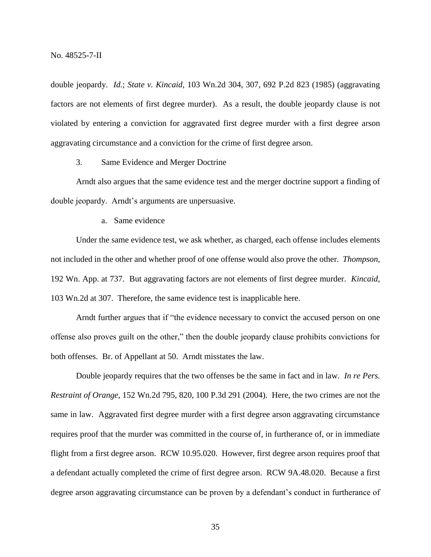double jeopardy. *Id.*; *State v. Kincaid*, 103 Wn.2d 304, 307, 692 P.2d 823 (1985) (aggravating factors are not elements of first degree murder). As a result, the double jeopardy clause is not violated by entering a conviction for aggravated first degree murder with a first degree arson aggravating circumstance and a conviction for the crime of first degree arson.

# 3. Same Evidence and Merger Doctrine

Arndt also argues that the same evidence test and the merger doctrine support a finding of double jeopardy. Arndt's arguments are unpersuasive.

a. Same evidence

Under the same evidence test, we ask whether, as charged, each offense includes elements not included in the other and whether proof of one offense would also prove the other. *Thompson*, 192 Wn. App. at 737. But aggravating factors are not elements of first degree murder. *Kincaid*, 103 Wn.2d at 307. Therefore, the same evidence test is inapplicable here.

Arndt further argues that if "the evidence necessary to convict the accused person on one offense also proves guilt on the other," then the double jeopardy clause prohibits convictions for both offenses. Br. of Appellant at 50. Arndt misstates the law.

Double jeopardy requires that the two offenses be the same in fact and in law. *In re Pers. Restraint of Orange*, 152 Wn.2d 795, 820, 100 P.3d 291 (2004). Here, the two crimes are not the same in law. Aggravated first degree murder with a first degree arson aggravating circumstance requires proof that the murder was committed in the course of, in furtherance of, or in immediate flight from a first degree arson. RCW 10.95.020. However, first degree arson requires proof that a defendant actually completed the crime of first degree arson. RCW 9A.48.020. Because a first degree arson aggravating circumstance can be proven by a defendant's conduct in furtherance of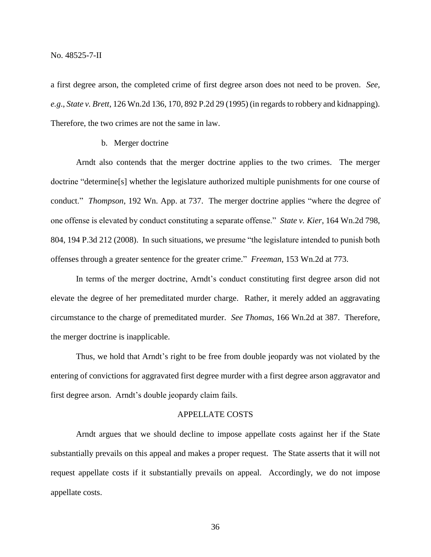a first degree arson, the completed crime of first degree arson does not need to be proven. *See, e.g*., *State v. Brett*, 126 Wn.2d 136, 170, 892 P.2d 29 (1995) (in regards to robbery and kidnapping). Therefore, the two crimes are not the same in law.

## b. Merger doctrine

Arndt also contends that the merger doctrine applies to the two crimes. The merger doctrine "determine[s] whether the legislature authorized multiple punishments for one course of conduct." *Thompson*, 192 Wn. App. at 737. The merger doctrine applies "where the degree of one offense is elevated by conduct constituting a separate offense." *State v. Kier*, 164 Wn.2d 798, 804, 194 P.3d 212 (2008). In such situations, we presume "the legislature intended to punish both offenses through a greater sentence for the greater crime." *Freeman*, 153 Wn.2d at 773.

In terms of the merger doctrine, Arndt's conduct constituting first degree arson did not elevate the degree of her premeditated murder charge. Rather, it merely added an aggravating circumstance to the charge of premeditated murder. *See Thomas*, 166 Wn.2d at 387. Therefore, the merger doctrine is inapplicable.

Thus, we hold that Arndt's right to be free from double jeopardy was not violated by the entering of convictions for aggravated first degree murder with a first degree arson aggravator and first degree arson. Arndt's double jeopardy claim fails.

### APPELLATE COSTS

Arndt argues that we should decline to impose appellate costs against her if the State substantially prevails on this appeal and makes a proper request. The State asserts that it will not request appellate costs if it substantially prevails on appeal. Accordingly, we do not impose appellate costs.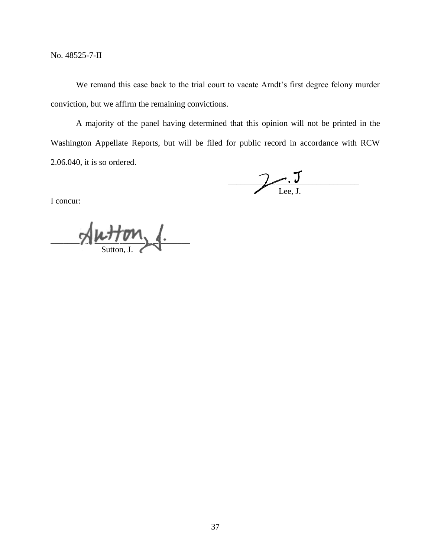No. 48525-7-II

We remand this case back to the trial court to vacate Arndt's first degree felony murder conviction, but we affirm the remaining convictions.

A majority of the panel having determined that this opinion will not be printed in the Washington Appellate Reports, but will be filed for public record in accordance with RCW 2.06.040, it is so ordered.

 $\overline{\phantom{a}}$ Lee, J.

I concur:

 $\sim$ Sutton, J.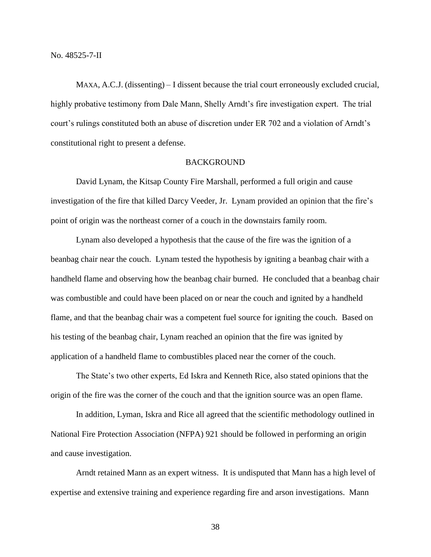MAXA, A.C.J. (dissenting) – I dissent because the trial court erroneously excluded crucial, highly probative testimony from Dale Mann, Shelly Arndt's fire investigation expert. The trial court's rulings constituted both an abuse of discretion under ER 702 and a violation of Arndt's constitutional right to present a defense.

# **BACKGROUND**

David Lynam, the Kitsap County Fire Marshall, performed a full origin and cause investigation of the fire that killed Darcy Veeder, Jr. Lynam provided an opinion that the fire's point of origin was the northeast corner of a couch in the downstairs family room.

Lynam also developed a hypothesis that the cause of the fire was the ignition of a beanbag chair near the couch. Lynam tested the hypothesis by igniting a beanbag chair with a handheld flame and observing how the beanbag chair burned. He concluded that a beanbag chair was combustible and could have been placed on or near the couch and ignited by a handheld flame, and that the beanbag chair was a competent fuel source for igniting the couch. Based on his testing of the beanbag chair, Lynam reached an opinion that the fire was ignited by application of a handheld flame to combustibles placed near the corner of the couch.

The State's two other experts, Ed Iskra and Kenneth Rice, also stated opinions that the origin of the fire was the corner of the couch and that the ignition source was an open flame.

In addition, Lyman, Iskra and Rice all agreed that the scientific methodology outlined in National Fire Protection Association (NFPA) 921 should be followed in performing an origin and cause investigation.

Arndt retained Mann as an expert witness. It is undisputed that Mann has a high level of expertise and extensive training and experience regarding fire and arson investigations. Mann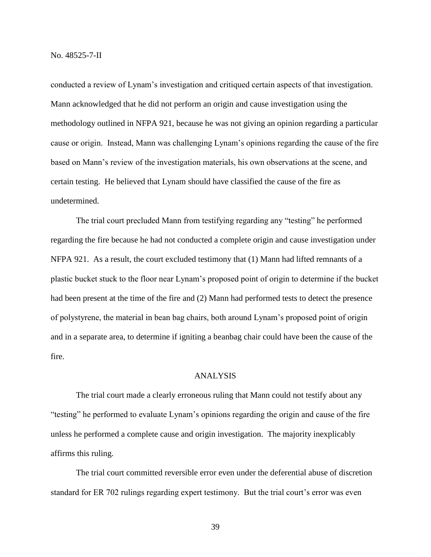conducted a review of Lynam's investigation and critiqued certain aspects of that investigation. Mann acknowledged that he did not perform an origin and cause investigation using the methodology outlined in NFPA 921, because he was not giving an opinion regarding a particular cause or origin. Instead, Mann was challenging Lynam's opinions regarding the cause of the fire based on Mann's review of the investigation materials, his own observations at the scene, and certain testing. He believed that Lynam should have classified the cause of the fire as undetermined.

The trial court precluded Mann from testifying regarding any "testing" he performed regarding the fire because he had not conducted a complete origin and cause investigation under NFPA 921. As a result, the court excluded testimony that (1) Mann had lifted remnants of a plastic bucket stuck to the floor near Lynam's proposed point of origin to determine if the bucket had been present at the time of the fire and (2) Mann had performed tests to detect the presence of polystyrene, the material in bean bag chairs, both around Lynam's proposed point of origin and in a separate area, to determine if igniting a beanbag chair could have been the cause of the fire.

## ANALYSIS

The trial court made a clearly erroneous ruling that Mann could not testify about any "testing" he performed to evaluate Lynam's opinions regarding the origin and cause of the fire unless he performed a complete cause and origin investigation. The majority inexplicably affirms this ruling.

The trial court committed reversible error even under the deferential abuse of discretion standard for ER 702 rulings regarding expert testimony. But the trial court's error was even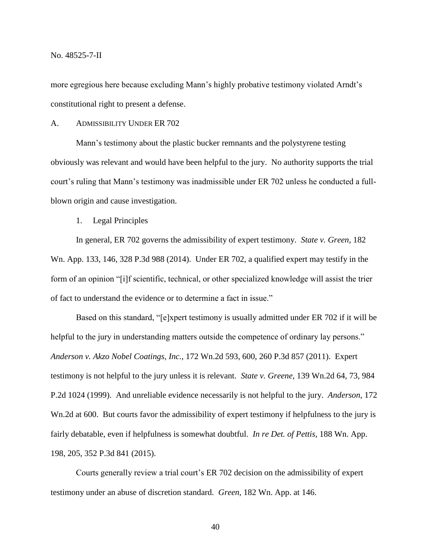No. 48525-7-II

more egregious here because excluding Mann's highly probative testimony violated Arndt's constitutional right to present a defense.

A. ADMISSIBILITY UNDER ER 702

Mann's testimony about the plastic bucker remnants and the polystyrene testing obviously was relevant and would have been helpful to the jury. No authority supports the trial court's ruling that Mann's testimony was inadmissible under ER 702 unless he conducted a fullblown origin and cause investigation.

1. Legal Principles

In general, ER 702 governs the admissibility of expert testimony. *State v. Green*, 182 Wn. App. 133, 146, 328 P.3d 988 (2014). Under ER 702, a qualified expert may testify in the form of an opinion "[i]f scientific, technical, or other specialized knowledge will assist the trier of fact to understand the evidence or to determine a fact in issue."

Based on this standard, "[e]xpert testimony is usually admitted under ER 702 if it will be helpful to the jury in understanding matters outside the competence of ordinary lay persons." *Anderson v. Akzo Nobel Coatings, Inc.*, 172 Wn.2d 593, 600, 260 P.3d 857 (2011). Expert testimony is not helpful to the jury unless it is relevant. *State v. Greene*, 139 Wn.2d 64, 73, 984 P.2d 1024 (1999). And unreliable evidence necessarily is not helpful to the jury. *Anderson*, 172 Wn.2d at 600. But courts favor the admissibility of expert testimony if helpfulness to the jury is fairly debatable, even if helpfulness is somewhat doubtful. *In re Det. of Pettis*, 188 Wn. App. 198, 205, 352 P.3d 841 (2015).

Courts generally review a trial court's ER 702 decision on the admissibility of expert testimony under an abuse of discretion standard. *Green*, 182 Wn. App. at 146.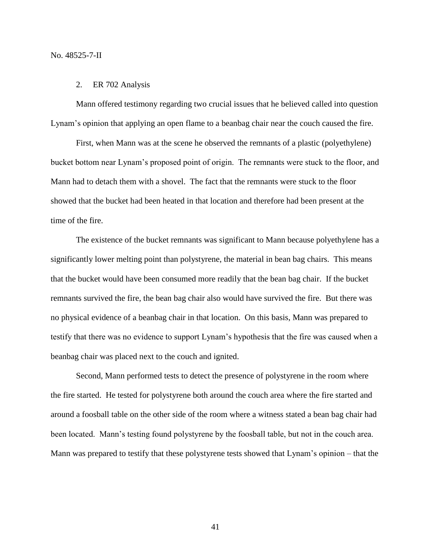#### 2. ER 702 Analysis

Mann offered testimony regarding two crucial issues that he believed called into question Lynam's opinion that applying an open flame to a beanbag chair near the couch caused the fire.

First, when Mann was at the scene he observed the remnants of a plastic (polyethylene) bucket bottom near Lynam's proposed point of origin. The remnants were stuck to the floor, and Mann had to detach them with a shovel. The fact that the remnants were stuck to the floor showed that the bucket had been heated in that location and therefore had been present at the time of the fire.

The existence of the bucket remnants was significant to Mann because polyethylene has a significantly lower melting point than polystyrene, the material in bean bag chairs. This means that the bucket would have been consumed more readily that the bean bag chair. If the bucket remnants survived the fire, the bean bag chair also would have survived the fire. But there was no physical evidence of a beanbag chair in that location. On this basis, Mann was prepared to testify that there was no evidence to support Lynam's hypothesis that the fire was caused when a beanbag chair was placed next to the couch and ignited.

Second, Mann performed tests to detect the presence of polystyrene in the room where the fire started. He tested for polystyrene both around the couch area where the fire started and around a foosball table on the other side of the room where a witness stated a bean bag chair had been located. Mann's testing found polystyrene by the foosball table, but not in the couch area. Mann was prepared to testify that these polystyrene tests showed that Lynam's opinion – that the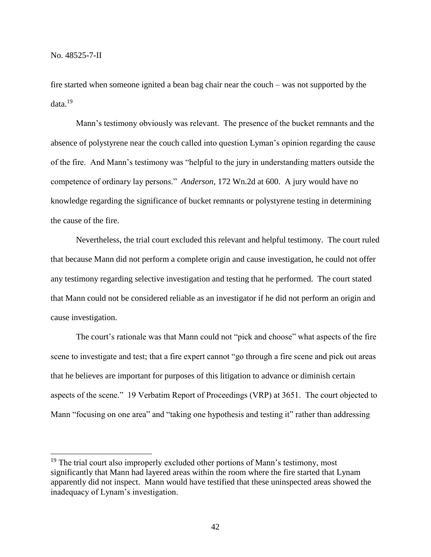$\overline{a}$ 

fire started when someone ignited a bean bag chair near the couch – was not supported by the data.<sup>19</sup>

Mann's testimony obviously was relevant. The presence of the bucket remnants and the absence of polystyrene near the couch called into question Lyman's opinion regarding the cause of the fire. And Mann's testimony was "helpful to the jury in understanding matters outside the competence of ordinary lay persons." *Anderson*, 172 Wn.2d at 600. A jury would have no knowledge regarding the significance of bucket remnants or polystyrene testing in determining the cause of the fire.

Nevertheless, the trial court excluded this relevant and helpful testimony. The court ruled that because Mann did not perform a complete origin and cause investigation, he could not offer any testimony regarding selective investigation and testing that he performed. The court stated that Mann could not be considered reliable as an investigator if he did not perform an origin and cause investigation.

The court's rationale was that Mann could not "pick and choose" what aspects of the fire scene to investigate and test; that a fire expert cannot "go through a fire scene and pick out areas that he believes are important for purposes of this litigation to advance or diminish certain aspects of the scene." 19 Verbatim Report of Proceedings (VRP) at 3651. The court objected to Mann "focusing on one area" and "taking one hypothesis and testing it" rather than addressing

<sup>&</sup>lt;sup>19</sup> The trial court also improperly excluded other portions of Mann's testimony, most significantly that Mann had layered areas within the room where the fire started that Lynam apparently did not inspect. Mann would have testified that these uninspected areas showed the inadequacy of Lynam's investigation.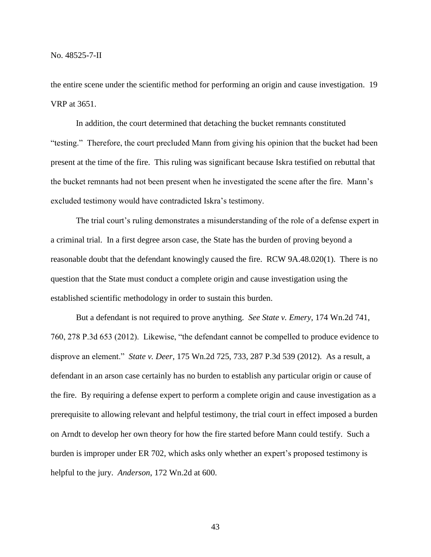the entire scene under the scientific method for performing an origin and cause investigation. 19 VRP at 3651.

In addition, the court determined that detaching the bucket remnants constituted "testing." Therefore, the court precluded Mann from giving his opinion that the bucket had been present at the time of the fire. This ruling was significant because Iskra testified on rebuttal that the bucket remnants had not been present when he investigated the scene after the fire. Mann's excluded testimony would have contradicted Iskra's testimony.

The trial court's ruling demonstrates a misunderstanding of the role of a defense expert in a criminal trial. In a first degree arson case, the State has the burden of proving beyond a reasonable doubt that the defendant knowingly caused the fire. RCW 9A.48.020(1). There is no question that the State must conduct a complete origin and cause investigation using the established scientific methodology in order to sustain this burden.

But a defendant is not required to prove anything. *See State v. Emery*, 174 Wn.2d 741, 760, 278 P.3d 653 (2012). Likewise, "the defendant cannot be compelled to produce evidence to disprove an element." *State v. Deer*, 175 Wn.2d 725, 733, 287 P.3d 539 (2012). As a result, a defendant in an arson case certainly has no burden to establish any particular origin or cause of the fire. By requiring a defense expert to perform a complete origin and cause investigation as a prerequisite to allowing relevant and helpful testimony, the trial court in effect imposed a burden on Arndt to develop her own theory for how the fire started before Mann could testify. Such a burden is improper under ER 702, which asks only whether an expert's proposed testimony is helpful to the jury. *Anderson*, 172 Wn.2d at 600.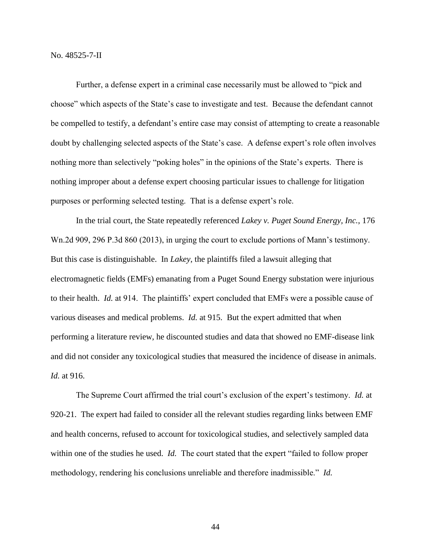No. 48525-7-II

Further, a defense expert in a criminal case necessarily must be allowed to "pick and choose" which aspects of the State's case to investigate and test. Because the defendant cannot be compelled to testify, a defendant's entire case may consist of attempting to create a reasonable doubt by challenging selected aspects of the State's case. A defense expert's role often involves nothing more than selectively "poking holes" in the opinions of the State's experts. There is nothing improper about a defense expert choosing particular issues to challenge for litigation purposes or performing selected testing. That is a defense expert's role.

In the trial court, the State repeatedly referenced *Lakey v. Puget Sound Energy, Inc.*, 176 Wn.2d 909, 296 P.3d 860 (2013), in urging the court to exclude portions of Mann's testimony. But this case is distinguishable. In *Lakey*, the plaintiffs filed a lawsuit alleging that electromagnetic fields (EMFs) emanating from a Puget Sound Energy substation were injurious to their health. *Id.* at 914. The plaintiffs' expert concluded that EMFs were a possible cause of various diseases and medical problems. *Id.* at 915. But the expert admitted that when performing a literature review, he discounted studies and data that showed no EMF-disease link and did not consider any toxicological studies that measured the incidence of disease in animals. *Id.* at 916.

The Supreme Court affirmed the trial court's exclusion of the expert's testimony. *Id.* at 920-21. The expert had failed to consider all the relevant studies regarding links between EMF and health concerns, refused to account for toxicological studies, and selectively sampled data within one of the studies he used. *Id.* The court stated that the expert "failed to follow proper methodology, rendering his conclusions unreliable and therefore inadmissible." *Id.*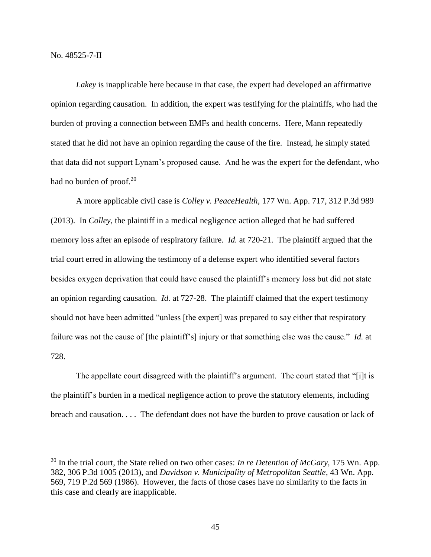$\overline{a}$ 

*Lakey* is inapplicable here because in that case, the expert had developed an affirmative opinion regarding causation. In addition, the expert was testifying for the plaintiffs, who had the burden of proving a connection between EMFs and health concerns. Here, Mann repeatedly stated that he did not have an opinion regarding the cause of the fire. Instead, he simply stated that data did not support Lynam's proposed cause. And he was the expert for the defendant, who had no burden of proof. $20$ 

A more applicable civil case is *Colley v. PeaceHealth*, 177 Wn. App. 717, 312 P.3d 989 (2013). In *Colley*, the plaintiff in a medical negligence action alleged that he had suffered memory loss after an episode of respiratory failure. *Id.* at 720-21. The plaintiff argued that the trial court erred in allowing the testimony of a defense expert who identified several factors besides oxygen deprivation that could have caused the plaintiff's memory loss but did not state an opinion regarding causation. *Id.* at 727-28. The plaintiff claimed that the expert testimony should not have been admitted "unless [the expert] was prepared to say either that respiratory failure was not the cause of [the plaintiff's] injury or that something else was the cause." *Id.* at 728.

The appellate court disagreed with the plaintiff's argument. The court stated that "[i]t is the plaintiff's burden in a medical negligence action to prove the statutory elements, including breach and causation. . . . The defendant does not have the burden to prove causation or lack of

<sup>20</sup> In the trial court, the State relied on two other cases: *In re Detention of McGary*, 175 Wn. App. 382, 306 P.3d 1005 (2013), and *Davidson v. Municipality of Metropolitan Seattle*, 43 Wn. App. 569, 719 P.2d 569 (1986). However, the facts of those cases have no similarity to the facts in this case and clearly are inapplicable.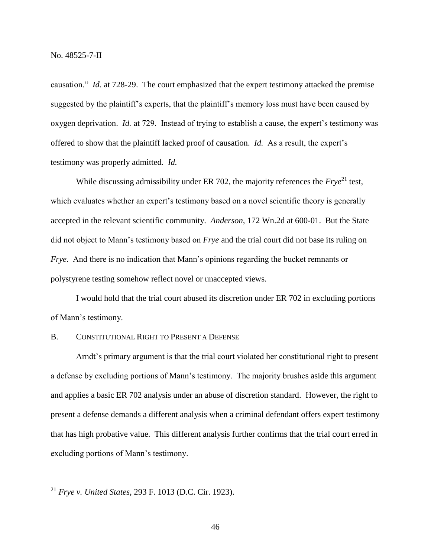causation." *Id.* at 728-29. The court emphasized that the expert testimony attacked the premise suggested by the plaintiff's experts, that the plaintiff's memory loss must have been caused by oxygen deprivation. *Id.* at 729. Instead of trying to establish a cause, the expert's testimony was offered to show that the plaintiff lacked proof of causation. *Id.* As a result, the expert's testimony was properly admitted. *Id.*

While discussing admissibility under ER 702, the majority references the *Frye*<sup>21</sup> test, which evaluates whether an expert's testimony based on a novel scientific theory is generally accepted in the relevant scientific community. *Anderson*, 172 Wn.2d at 600-01. But the State did not object to Mann's testimony based on *Frye* and the trial court did not base its ruling on *Frye.* And there is no indication that Mann's opinions regarding the bucket remnants or polystyrene testing somehow reflect novel or unaccepted views.

I would hold that the trial court abused its discretion under ER 702 in excluding portions of Mann's testimony.

# B. CONSTITUTIONAL RIGHT TO PRESENT A DEFENSE

Arndt's primary argument is that the trial court violated her constitutional right to present a defense by excluding portions of Mann's testimony. The majority brushes aside this argument and applies a basic ER 702 analysis under an abuse of discretion standard. However, the right to present a defense demands a different analysis when a criminal defendant offers expert testimony that has high probative value. This different analysis further confirms that the trial court erred in excluding portions of Mann's testimony.

 $\overline{a}$ 

<sup>21</sup> *Frye v. United States*, 293 F. 1013 (D.C. Cir. 1923).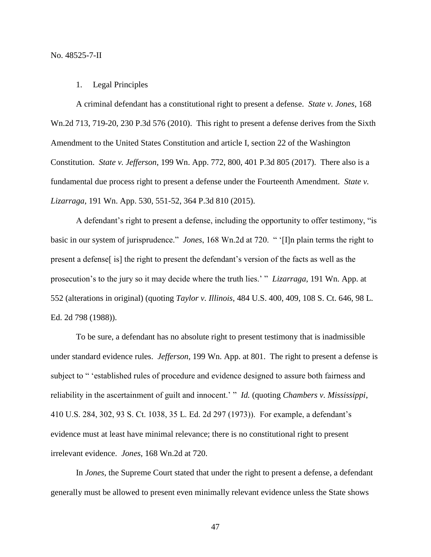## 1. Legal Principles

A criminal defendant has a constitutional right to present a defense. *State v. Jones*, 168 Wn.2d 713, 719-20, 230 P.3d 576 (2010). This right to present a defense derives from the Sixth Amendment to the United States Constitution and article I, section 22 of the Washington Constitution. *State v. Jefferson*, 199 Wn. App. 772, 800, 401 P.3d 805 (2017). There also is a fundamental due process right to present a defense under the Fourteenth Amendment. *State v. Lizarraga*, 191 Wn. App. 530, 551-52, 364 P.3d 810 (2015).

A defendant's right to present a defense, including the opportunity to offer testimony, "is basic in our system of jurisprudence." *Jones*, 168 Wn.2d at 720. " '[I]n plain terms the right to present a defense[ is] the right to present the defendant's version of the facts as well as the prosecution's to the jury so it may decide where the truth lies.' " *Lizarraga*, 191 Wn. App. at 552 (alterations in original) (quoting *Taylor v. Illinois*, 484 U.S. 400, 409, 108 S. Ct. 646, 98 L. Ed. 2d 798 (1988)).

To be sure, a defendant has no absolute right to present testimony that is inadmissible under standard evidence rules. *Jefferson*, 199 Wn. App. at 801. The right to present a defense is subject to " 'established rules of procedure and evidence designed to assure both fairness and reliability in the ascertainment of guilt and innocent.' " *Id.* (quoting *Chambers v. Mississippi*, 410 U.S. 284, 302, 93 S. Ct. 1038, 35 L. Ed. 2d 297 (1973)). For example, a defendant's evidence must at least have minimal relevance; there is no constitutional right to present irrelevant evidence. *Jones*, 168 Wn.2d at 720.

In *Jones*, the Supreme Court stated that under the right to present a defense, a defendant generally must be allowed to present even minimally relevant evidence unless the State shows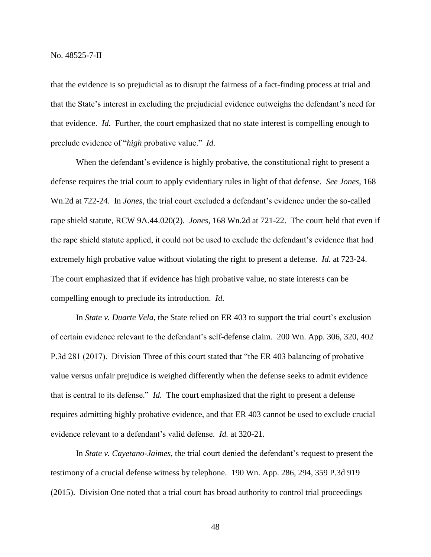that the evidence is so prejudicial as to disrupt the fairness of a fact-finding process at trial and that the State's interest in excluding the prejudicial evidence outweighs the defendant's need for that evidence. *Id.* Further, the court emphasized that no state interest is compelling enough to preclude evidence of "*high* probative value." *Id.*

When the defendant's evidence is highly probative, the constitutional right to present a defense requires the trial court to apply evidentiary rules in light of that defense. *See Jones*, 168 Wn.2d at 722-24. In *Jones*, the trial court excluded a defendant's evidence under the so-called rape shield statute, RCW 9A.44.020(2). *Jones*, 168 Wn.2d at 721-22. The court held that even if the rape shield statute applied, it could not be used to exclude the defendant's evidence that had extremely high probative value without violating the right to present a defense. *Id.* at 723-24. The court emphasized that if evidence has high probative value, no state interests can be compelling enough to preclude its introduction. *Id.*

In *State v. Duarte Vela*, the State relied on ER 403 to support the trial court's exclusion of certain evidence relevant to the defendant's self-defense claim. 200 Wn. App. 306, 320, 402 P.3d 281 (2017). Division Three of this court stated that "the ER 403 balancing of probative value versus unfair prejudice is weighed differently when the defense seeks to admit evidence that is central to its defense." *Id.* The court emphasized that the right to present a defense requires admitting highly probative evidence, and that ER 403 cannot be used to exclude crucial evidence relevant to a defendant's valid defense. *Id.* at 320-21.

In *State v. Cayetano-Jaimes*, the trial court denied the defendant's request to present the testimony of a crucial defense witness by telephone. 190 Wn. App. 286, 294, 359 P.3d 919 (2015). Division One noted that a trial court has broad authority to control trial proceedings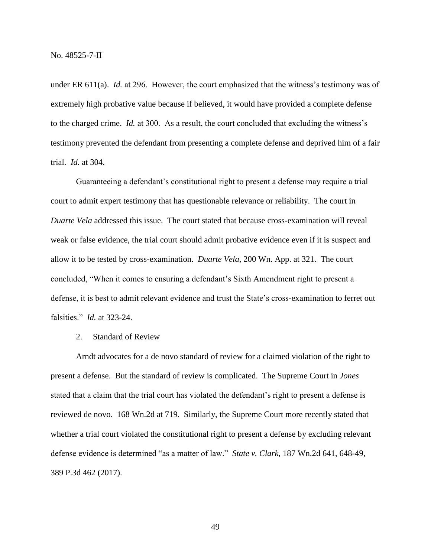under ER 611(a). *Id.* at 296. However, the court emphasized that the witness's testimony was of extremely high probative value because if believed, it would have provided a complete defense to the charged crime. *Id.* at 300. As a result, the court concluded that excluding the witness's testimony prevented the defendant from presenting a complete defense and deprived him of a fair trial. *Id.* at 304.

Guaranteeing a defendant's constitutional right to present a defense may require a trial court to admit expert testimony that has questionable relevance or reliability. The court in *Duarte Vela* addressed this issue. The court stated that because cross-examination will reveal weak or false evidence, the trial court should admit probative evidence even if it is suspect and allow it to be tested by cross-examination. *Duarte Vela*, 200 Wn. App. at 321. The court concluded, "When it comes to ensuring a defendant's Sixth Amendment right to present a defense, it is best to admit relevant evidence and trust the State's cross-examination to ferret out falsities." *Id.* at 323-24.

2. Standard of Review

Arndt advocates for a de novo standard of review for a claimed violation of the right to present a defense. But the standard of review is complicated. The Supreme Court in *Jones* stated that a claim that the trial court has violated the defendant's right to present a defense is reviewed de novo. 168 Wn.2d at 719. Similarly, the Supreme Court more recently stated that whether a trial court violated the constitutional right to present a defense by excluding relevant defense evidence is determined "as a matter of law." *State v. Clark*, 187 Wn.2d 641, 648-49, 389 P.3d 462 (2017).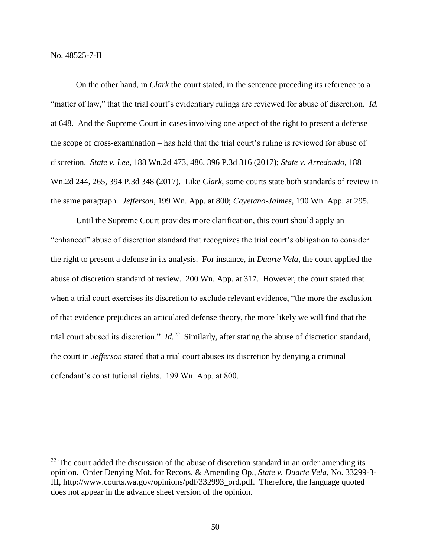No. 48525-7-II

 $\overline{a}$ 

On the other hand, in *Clark* the court stated, in the sentence preceding its reference to a "matter of law," that the trial court's evidentiary rulings are reviewed for abuse of discretion. *Id.* at 648. And the Supreme Court in cases involving one aspect of the right to present a defense – the scope of cross-examination – has held that the trial court's ruling is reviewed for abuse of discretion. *State v. Lee*, 188 Wn.2d 473, 486, 396 P.3d 316 (2017); *State v. Arredondo*, 188 Wn.2d 244, 265, 394 P.3d 348 (2017). Like *Clark*, some courts state both standards of review in the same paragraph. *Jefferson*, 199 Wn. App. at 800; *Cayetano-Jaimes*, 190 Wn. App. at 295.

Until the Supreme Court provides more clarification, this court should apply an "enhanced" abuse of discretion standard that recognizes the trial court's obligation to consider the right to present a defense in its analysis. For instance, in *Duarte Vela*, the court applied the abuse of discretion standard of review. 200 Wn. App. at 317. However, the court stated that when a trial court exercises its discretion to exclude relevant evidence, "the more the exclusion of that evidence prejudices an articulated defense theory, the more likely we will find that the trial court abused its discretion." *Id. 22* Similarly, after stating the abuse of discretion standard, the court in *Jefferson* stated that a trial court abuses its discretion by denying a criminal defendant's constitutional rights. 199 Wn. App. at 800.

 $22$  The court added the discussion of the abuse of discretion standard in an order amending its opinion. Order Denying Mot. for Recons. & Amending Op., *State v. Duarte Vela*, No. 33299-3- III, http://www.courts.wa.gov/opinions/pdf/332993\_ord.pdf. Therefore, the language quoted does not appear in the advance sheet version of the opinion.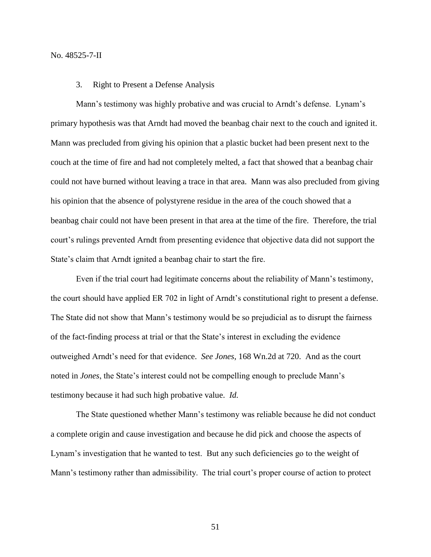#### No. 48525-7-II

#### 3. Right to Present a Defense Analysis

Mann's testimony was highly probative and was crucial to Arndt's defense. Lynam's primary hypothesis was that Arndt had moved the beanbag chair next to the couch and ignited it. Mann was precluded from giving his opinion that a plastic bucket had been present next to the couch at the time of fire and had not completely melted, a fact that showed that a beanbag chair could not have burned without leaving a trace in that area. Mann was also precluded from giving his opinion that the absence of polystyrene residue in the area of the couch showed that a beanbag chair could not have been present in that area at the time of the fire. Therefore, the trial court's rulings prevented Arndt from presenting evidence that objective data did not support the State's claim that Arndt ignited a beanbag chair to start the fire.

Even if the trial court had legitimate concerns about the reliability of Mann's testimony, the court should have applied ER 702 in light of Arndt's constitutional right to present a defense. The State did not show that Mann's testimony would be so prejudicial as to disrupt the fairness of the fact-finding process at trial or that the State's interest in excluding the evidence outweighed Arndt's need for that evidence. *See Jones*, 168 Wn.2d at 720. And as the court noted in *Jones*, the State's interest could not be compelling enough to preclude Mann's testimony because it had such high probative value. *Id.*

The State questioned whether Mann's testimony was reliable because he did not conduct a complete origin and cause investigation and because he did pick and choose the aspects of Lynam's investigation that he wanted to test. But any such deficiencies go to the weight of Mann's testimony rather than admissibility. The trial court's proper course of action to protect